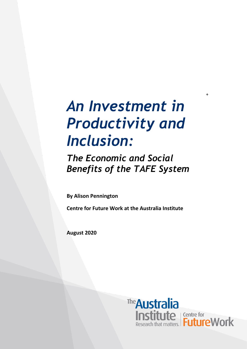# *An Investment in Productivity and Inclusion:*

*The Economic and Social Benefits of the TAFE System*

**By Alison Pennington**

**Centre for Future Work at the Australia Institute**

**August 2020**



+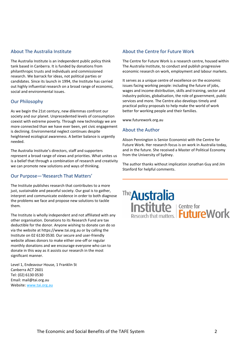#### About The Australia Institute

The Australia Institute is an independent public policy think tank based in Canberra. It is funded by donations from philanthropic trusts and individuals and commissioned research. We barrack for ideas, not political parties or candidates. Since its launch in 1994, the Institute has carried out highly influential research on a broad range of economic, social and environmental issues.

#### Our Philosophy

As we begin the 21st century, new dilemmas confront our society and our planet. Unprecedented levels of consumption coexist with extreme poverty. Through new technology we are more connected than we have ever been, yet civic engagement is declining. Environmental neglect continues despite heightened ecological awareness. A better balance is urgently needed.

The Australia Institute's directors, staff and supporters represent a broad range of views and priorities. What unites us is a belief that through a combination of research and creativity we can promote new solutions and ways of thinking.

#### Our Purpose—'Research That Matters'

The Institute publishes research that contributes to a more just, sustainable and peaceful society. Our goal is to gather, interpret and communicate evidence in order to both diagnose the problems we face and propose new solutions to tackle them.

The Institute is wholly independent and not affiliated with any other organisation. Donations to its Research Fund are tax deductible for the donor. Anyone wishing to donate can do so via the website at https://www.tai.org.au or by calling the Institute on 02 6130 0530. Our secure and user-friendly website allows donors to make either one-off or regular monthly donations and we encourage everyone who can to donate in this way as it assists our research in the most significant manner.

Level 1, Endeavour House, 1 Franklin St Canberra ACT 2601 Tel: (02) 6130 0530 Email: mail@tai.org.au Website[: www.tai.org.au](http://www.tai.org.au/)

#### About the Centre for Future Work

The Centre for Future Work is a research centre, housed within The Australia Institute, to conduct and publish progressive economic research on work, employment and labour markets.

It serves as a unique centre of excellence on the economic issues facing working people: including the future of jobs, wages and income distribution, skills and training, sector and industry policies, globalisation, the role of government, public services and more. The Centre also develops timely and practical policy proposals to help make the world of work better for working people and their families.

www.futurework.org.au

#### About the Author

Alison Pennington is Senior Economist with the Centre for Future Work. Her research focus is on work in Australia today, and in the future. She received a Master of Political Economy from the University of Sydney.

The author thanks without implication Jonathan Guy and Jim Stanford for helpful comments.

# The **Australia Austique**<br> **Institute** FutureWork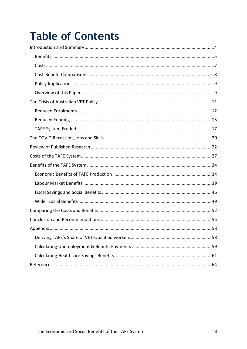## **Table of Contents**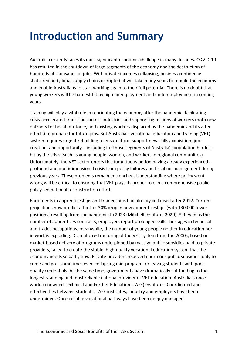## <span id="page-3-0"></span>**Introduction and Summary**

Australia currently faces its most significant economic challenge in many decades. COVID-19 has resulted in the shutdown of large segments of the economy and the destruction of hundreds of thousands of jobs. With private incomes collapsing, business confidence shattered and global supply chains disrupted, it will take many years to rebuild the economy and enable Australians to start working again to their full potential. There is no doubt that young workers will be hardest hit by high unemployment and underemployment in coming years.

Training will play a vital role in reorienting the economy after the pandemic, facilitating crisis-accelerated transitions across industries and supporting millions of workers (both new entrants to the labour force, and existing workers displaced by the pandemic and its aftereffects) to prepare for future jobs. But Australia's vocational education and training (VET) system requires urgent rebuilding to ensure it can support new skills acquisition, jobcreation, and opportunity – including for those segments of Australia's population hardesthit by the crisis (such as young people, women, and workers in regional communities). Unfortunately, the VET sector enters this tumultuous period having already experienced a profound and multidimensional crisis from policy failures and fiscal mismanagement during previous years. These problems remain entrenched. Understanding where policy went wrong will be critical to ensuring that VET plays its proper role in a comprehensive public policy-led national reconstruction effort.

Enrolments in apprenticeships and traineeships had already collapsed after 2012. Current projections now predict a further 30% drop in new apprenticeships (with 130,000 fewer positions) resulting from the pandemic to 2023 (Mitchell Institute, 2020). Yet even as the number of apprentices contracts, employers report prolonged skills shortages in technical and trades occupations; meanwhile, the number of young people neither in education nor in work is exploding. Dramatic restructuring of the VET system from the 2000s, based on market-based delivery of programs underpinned by massive public subsidies paid to private providers, failed to create the stable, high-quality vocational education system that the economy needs so badly now. Private providers received enormous public subsidies, only to come and go—sometimes even collapsing mid-program, or leaving students with poorquality credentials. At the same time, governments have dramatically cut funding to the longest-standing and most reliable national provider of VET education: Australia's once world-renowned Technical and Further Education (TAFE) institutes. Coordinated and effective ties between students, TAFE institutes, industry and employers have been undermined. Once-reliable vocational pathways have been deeply damaged.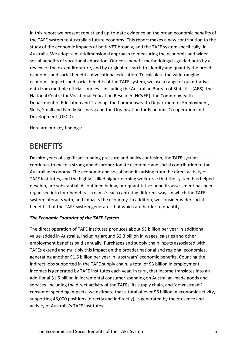In this report we present robust and up-to-date evidence on the broad economic benefits of the TAFE system to Australia's future economy. This report makes a new contribution to the study of the economic impacts of both VET broadly, and the TAFE system specifically, in Australia. We adopt a multidimensional approach to measuring the economic and wider social benefits of vocational education. Our cost-benefit methodology is guided both by a review of the extant literature, and by original research to identify and quantify the broad economic and social benefits of vocational education. To calculate the wide-ranging economic impacts and social benefits of the TAFE system, we use a range of quantitative data from multiple official sources—including the Australian Bureau of Statistics (ABS); the National Centre for Vocational Education Research (NCVER); the Commonwealth Department of Education and Training; the Commonwealth Department of Employment, Skills, Small and Family Business; and the Organisation for Economic Co-operation and Development (OECD).

Here are our key findings:

### <span id="page-4-0"></span>**BENEFITS**

Despite years of significant funding pressure and policy confusion, the TAFE system continues to make a strong and disproportionate economic and social contribution to the Australian economy. The economic and social benefits arising from the direct activity of TAFE institutes, and the highly-skilled higher-earning workforce that the system has helped develop, are substantial. As outlined below, our quantitative benefits assessment has been organised into four benefits 'streams': each capturing different ways in which the TAFE system interacts with, and impacts the economy. In addition, we consider wider social benefits that the TAFE system generates, but which are harder to quantify.

#### *The Economic Footprint of the TAFE System*

The direct operation of TAFE institutes produces about \$3 billion per year in additional value-added in Australia, including around \$2.3 billion in wages, salaries and other employment benefits paid annually. Purchases and supply chain inputs associated with TAFEs extend and multiply this impact on the broader national and regional economies, generating another \$1.6 billion per year in 'upstream' economic benefits. Counting the indirect jobs supported in the TAFE supply chain, a total of \$3 billion in employment incomes is generated by TAFE institutes each year. In turn, that income translates into an additional \$1.5 billion in incremental consumer spending on Australian-made goods and services. Including the direct activity of the TAFEs, its supply chain, and 'downstream' consumer spending impacts, we estimate that a total of over \$6 billion in economic activity, supporting 48,000 positions (directly and indirectly), is generated by the presence and activity of Australia's TAFE institutes.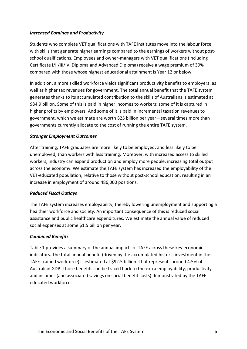#### *Increased Earnings and Productivity*

Students who complete VET qualifications with TAFE institutes move into the labour force with skills that generate higher earnings compared to the earnings of workers without postschool qualifications. Employees and owner-managers with VET qualifications (including Certificate I/II/III/IV, Diploma and Advanced Diploma) receive a wage premium of 39% compared with those whose highest educational attainment is Year 12 or below.

In addition, a more skilled workforce yields significant productivity benefits to employers, as well as higher tax revenues for government. The total annual benefit that the TAFE system generates thanks to its accumulated contribution to the skills of Australians is estimated at \$84.9 billion. Some of this is paid in higher incomes to workers; some of it is captured in higher profits by employers. And some of it is paid in incremental taxation revenues to government, which we estimate are worth \$25 billion per year—several times more than governments currently allocate to the cost of running the entire TAFE system.

#### *Stronger Employment Outcomes*

After training, TAFE graduates are more likely to be employed, and less likely to be unemployed, than workers with less training. Moreover, with increased access to skilled workers, industry can expand production and employ more people, increasing total output across the economy. We estimate the TAFE system has increased the employability of the VET-educated population, relative to those without post-school education, resulting in an increase in employment of around 486,000 positions.

#### *Reduced Fiscal Outlays*

The TAFE system increases employability, thereby lowering unemployment and supporting a healthier workforce and society. An important consequence of this is reduced social assistance and public healthcare expenditures. We estimate the annual value of reduced social expenses at some \$1.5 billion per year.

#### *Combined Benefits*

Table 1 provides a summary of the annual impacts of TAFE across these key economic indicators. The total annual benefit (driven by the accumulated historic investment in the TAFE-trained workforce) is estimated at \$92.5 billion. That represents around 4.5% of Australian GDP. Those benefits can be traced back to the extra employability, productivity and incomes (and associated savings on social benefit costs) demonstrated by the TAFEeducated workforce.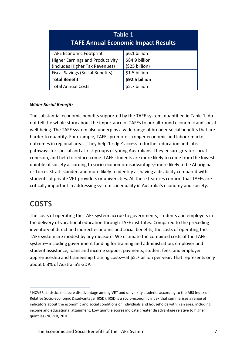| Table 1<br><b>TAFE Annual Economic Impact Results</b> |                |  |
|-------------------------------------------------------|----------------|--|
| <b>TAFE Economic Footprint</b>                        | \$6.1 billion  |  |
| <b>Higher Earnings and Productivity</b>               | \$84.9 billion |  |
| (Includes Higher Tax Revenues)                        | (\$25 billion) |  |
| <b>Fiscal Savings (Social Benefits)</b>               | \$1.5 billion  |  |
| <b>Total Benefit</b>                                  | \$92.5 billion |  |
| <b>Total Annual Costs</b>                             | \$5.7 billion  |  |

#### *Wider Social Benefits*

The substantial economic benefits supported by the TAFE system, quantified in Table 1, do not tell the whole story about the importance of TAFEs to our all-round economic and social well-being. The TAFE system also underpins a wide range of broader social benefits that are harder to quantify. For example, TAFEs promote stronger economic and labour market outcomes in regional areas. They help 'bridge' access to further education and jobs pathways for special and at-risk groups of young Australians. They ensure greater social cohesion, and help to reduce crime. TAFE students are more likely to come from the lowest quintile of society according to socio-economic disadvantage, $1$  more likely to be Aboriginal or Torres Strait Islander, and more likely to identify as having a disability compared with students of private VET providers or universities. All these features confirm that TAFEs are critically important in addressing systemic inequality in Australia's economy and society.

### <span id="page-6-0"></span>**COSTS**

The costs of operating the TAFE system accrue to governments, students and employers in the delivery of vocational education through TAFE institutes. Compared to the preceding inventory of direct and indirect economic and social benefits, the costs of operating the TAFE system are modest by any measure. We estimate the combined costs of the TAFE system—including government funding for training and administration, employer and student assistance, loans and income support payments, student fees, and employer apprenticeship and traineeship training costs—at \$5.7 billion per year. That represents only about 0.3% of Australia's GDP.

<sup>&</sup>lt;sup>1</sup> NCVER statistics measure disadvantage among VET and university students according to the ABS Index of Relative Socio-economic Disadvantage (IRSD). IRSD is a socio-economic index that summarises a range of indicators about the economic and social conditions of individuals and households within an area, including income and educational attainment. Low quintile scores indicate greater disadvantage relative to higher quintiles (NCVER, 2020).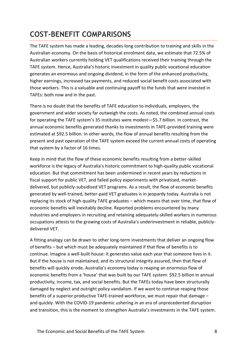## <span id="page-7-0"></span>**COST-BENEFIT COMPARISONS**

The TAFE system has made a leading, decades-long contribution to training and skills in the Australian economy. On the basis of historical enrolment data, we estimate that 72.5% of Australian workers currently holding VET qualifications received their training through the TAFE system. Hence, Australia's historic investment in quality public vocational education generates an enormous and ongoing dividend, in the form of the enhanced productivity, higher earnings, increased tax payments, and reduced social benefit costs associated with those workers. This is a valuable and continuing payoff to the funds that were invested in TAFEs: both now and in the past.

There is no doubt that the benefits of TAFE education to individuals, employers, the government and wider society far outweigh the costs. As noted, the combined annual costs for operating the TAFE system's 35 institutes were modest—\$5.7 billion. In contrast, the annual economic benefits generated thanks to investments in TAFE-provided training were estimated at \$92.5 billion. In other words, the flow of annual benefits resulting from the present and past operation of the TAFE system exceed the current annual costs of operating that system by a factor of 16 times.

Keep in mind that the flow of these economic benefits resulting from a better-skilled workforce is the legacy of Australia's historic commitment to high-quality public vocational education. But that commitment has been undermined in recent years by reductions in fiscal support for public VET, and failed policy experiments with privatised, marketdelivered, but publicly-subsidised VET programs. As a result, the flow of economic benefits generated by well-trained, better-paid VET graduates is in jeopardy today. Australia is not replacing its stock of high-quality TAFE graduates – which means that over time, that flow of economic benefits will inevitably decline. Reported problems encountered by many industries and employers in recruiting and retaining adequately-skilled workers in numerous occupations attests to the growing costs of Australia's underinvestment in reliable, publiclydelivered VET.

A fitting analogy can be drawn to other long-term investments that deliver an ongoing flow of benefits – but which must be adequately maintained if that flow of benefits is to continue. Imagine a well-built house: it generates value each year that someone lives in it. But if the house is not maintained, and its structural integrity assured, then that flow of benefits will quickly erode. Australia's economy today is reaping an enormous flow of economic benefits from a 'house' that was built by our TAFE system: \$92.5 billion in annual productivity, income, tax, and social benefits. But the TAFEs today have been structurally damaged by neglect and outright policy vandalism. If we want to continue reaping those benefits of a superior productive TAFE-trained workforce, we must repair that damage – and quickly. With the COVID-19 pandemic ushering in an era of unprecedented disruption and transition, this is the moment to strengthen Australia's investments in the TAFE system.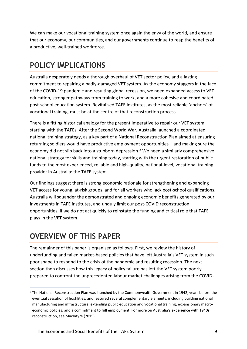We can make our vocational training system once again the envy of the world, and ensure that our economy, our communities, and our governments continue to reap the benefits of a productive, well-trained workforce.

### <span id="page-8-0"></span>**POLICY IMPLICATIONS**

Australia desperately needs a thorough overhaul of VET sector policy, and a lasting commitment to repairing a badly-damaged VET system. As the economy staggers in the face of the COVID-19 pandemic and resulting global recession, we need expanded access to VET education, stronger pathways from training to work, and a more cohesive and coordinated post-school education system. Revitalised TAFE institutes, as the most reliable 'anchors' of vocational training, must be at the centre of that reconstruction process.

There is a fitting historical analogy for the present imperative to repair our VET system, starting with the TAFEs. After the Second World War, Australia launched a coordinated national training strategy, as a key part of a National Reconstruction Plan aimed at ensuring returning soldiers would have productive employment opportunities – and making sure the economy did not slip back into a stubborn depression. <sup>2</sup> We need a similarly comprehensive national strategy for skills and training today, starting with the urgent restoration of public funds to the most experienced, reliable and high-quality, national-level, vocational training provider in Australia: the TAFE system.

Our findings suggest there is strong economic rationale for strengthening and expanding VET access for young, at-risk groups, and for all workers who lack post-school qualifications. Australia will squander the demonstrated and ongoing economic benefits generated by our investments in TAFE institutes, and unduly limit our post-COVID reconstruction opportunities, if we do not act quickly to reinstate the funding and critical role that TAFE plays in the VET system.

### <span id="page-8-1"></span>**OVERVIEW OF THIS PAPER**

The remainder of this paper is organised as follows. First, we review the history of underfunding and failed market-based policies that have left Australia's VET system in such poor shape to respond to the crisis of the pandemic and resulting recession. The next section then discusses how this legacy of policy failure has left the VET system poorly prepared to confront the unprecedented labour market challenges arising from the COVID-

<sup>&</sup>lt;sup>2</sup> The National Reconstruction Plan was launched by the Commonwealth Government in 1942, years before the eventual cessation of hostilities, and featured several complementary elements: including building national manufacturing and infrastructure, extending public education and vocational training, expansionary macroeconomic policies, and a commitment to full employment. For more on Australia's experience with 1940s reconstruction, see MacIntyre (2015).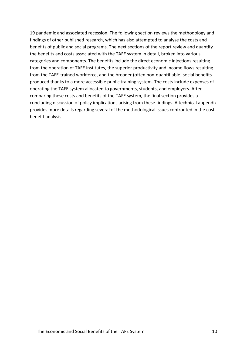19 pandemic and associated recession. The following section reviews the methodology and findings of other published research, which has also attempted to analyse the costs and benefits of public and social programs. The next sections of the report review and quantify the benefits and costs associated with the TAFE system in detail, broken into various categories and components. The benefits include the direct economic injections resulting from the operation of TAFE institutes, the superior productivity and income flows resulting from the TAFE-trained workforce, and the broader (often non-quantifiable) social benefits produced thanks to a more accessible public training system. The costs include expenses of operating the TAFE system allocated to governments, students, and employers. After comparing these costs and benefits of the TAFE system, the final section provides a concluding discussion of policy implications arising from these findings. A technical appendix provides more details regarding several of the methodological issues confronted in the costbenefit analysis.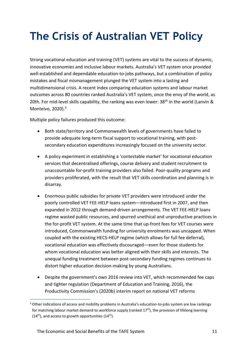## <span id="page-10-0"></span>**The Crisis of Australian VET Policy**

Strong vocational education and training (VET) systems are vital to the success of dynamic, innovative economies and inclusive labour markets. Australia's VET system once provided well-established and dependable education-to-jobs pathways, but a combination of policy mistakes and fiscal mismanagement plunged the VET system into a lasting and multidimensional crisis. A recent index comparing education systems and labour market outcomes across 80 countries ranked Australia's VET system, once the envy of the world, as 20th. For mid-level skills capability, the ranking was even lower: 38<sup>th</sup> in the world (Lanvin & Monteivo, 2020). 3

Multiple policy failures produced this outcome:

- Both state/territory and Commonwealth levels of governments have failed to provide adequate long-term fiscal support to vocational training, with postsecondary education expenditures increasingly focused on the university sector.
- A policy experiment in establishing a 'contestable market' for vocational education services that decentralised offerings, course delivery and student recruitment to unaccountable for-profit training providers also failed. Poor-quality programs and providers proliferated, with the result that VET skills coordination and planning is in disarray.
- Enormous public subsidies for private VET providers were introduced under the poorly controlled VET FEE-HELP loans system—introduced first in 2007, and then expanded in 2012 through demand-driven arrangements. The VET FEE-HELP loans regime wasted public resources, and spurred unethical and unproductive practices in the for-profit VET system. At the same time that up-front fees for VET courses were introduced, Commonwealth funding for university enrolments was uncapped. When coupled with the existing HECS-HELP regime (which allows for full fee deferral), vocational education was effectively discouraged—even for those students for whom vocational education was better aligned with their skills and interests. The unequal funding treatment between post-secondary funding regimes continues to distort higher education decision-making by young Australians.
- Despite the government's own 2016 review into VET, which recommended fee caps and tighter regulation (Department of Education and Training, 2016), the Productivity Commission's (2020b) interim report on national VET reforms

<sup>&</sup>lt;sup>3</sup> Other indications of access and mobility problems in Australia's education-to-jobs system are low rankings for matching labour market demand to workforce supply (ranked  $17<sup>th</sup>$ ), the provision of lifelong learning  $(14<sup>th</sup>)$ , and access to growth opportunities  $(14<sup>th</sup>)$ .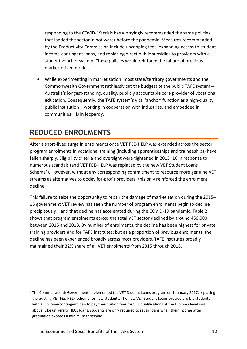responding to the COVID-19 crisis has worryingly recommended the same policies that landed the sector in hot water before the pandemic. Measures recommended by the Productivity Commission include uncapping fees, expanding access to student income-contingent loans, and replacing direct public subsidies to providers with a student voucher system. These policies would reinforce the failure of previous market-driven models.

• While experimenting in marketisation, most state/territory governments and the Commonwealth Government ruthlessly cut the budgets of the public TAFE system— Australia's longest-standing, quality, publicly accountable core provider of vocational education. Consequently, the TAFE system's vital 'anchor' function as a high-quality public institution – working in cooperation with industries, and embedded in communities – is in jeopardy.

### <span id="page-11-0"></span>**REDUCED ENROLMENTS**

After a short-lived surge in enrolments once VET FEE-HELP was extended across the sector, program enrolments in vocational training (including apprenticeships and traineeships) have fallen sharply. Eligibility criteria and oversight were tightened in 2015–16 in response to numerous scandals (and VET FEE-HELP was replaced by the new VET Student Loans Scheme<sup>4</sup>). However, without any corresponding commitment to resource more genuine VET streams as alternatives to dodgy for-profit providers, this only reinforced the enrolment decline.

This failure to seize the opportunity to repair the damage of marketisation during the 2015– 16 government VET review has seen the number of program enrolments begin to decline precipitously – and that decline has accelerated during the COVID-19 pandemic. Table 2 shows that program enrolments across the total VET sector declined by around 450,000 between 2015 and 2018. By number of enrolments, the decline has been highest for private training providers and for TAFE institutes; but as a proportion of previous enrolments, the decline has been experienced broadly across most providers. TAFE institutes broadly maintained their 32% share of all VET enrolments from 2015 through 2018.

<sup>&</sup>lt;sup>4</sup> The Commonwealth Government implemented the VET Student Loans program on 1 January 2017, replacing the existing VET FEE-HELP scheme for new students. The new VET Student Loans provide eligible students with an income-contingent loan to pay their tuition fees for VET qualifications at the Diploma level and above. Like university HECS loans, students are only required to repay loans when their income after graduation exceeds a minimum threshold.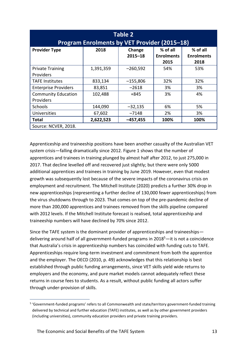| <b>Table 2</b><br><b>Program Enrolments by VET Provider (2015-18)</b> |           |                       |                                       |                                       |
|-----------------------------------------------------------------------|-----------|-----------------------|---------------------------------------|---------------------------------------|
| <b>Provider Type</b>                                                  | 2018      | Change<br>$2015 - 18$ | % of all<br><b>Enrolments</b><br>2015 | % of all<br><b>Enrolments</b><br>2018 |
| <b>Private Training</b><br><b>Providers</b>                           | 1,391,359 | $-260,592$            | 54%                                   | 53%                                   |
| <b>TAFE Institutes</b>                                                | 833,134   | $-155,806$            | 32%                                   | 32%                                   |
| <b>Enterprise Providers</b>                                           | 83,851    | $-2618$               | 3%                                    | 3%                                    |
| <b>Community Education</b><br>Providers                               | 102,488   | $+845$                | 3%                                    | 4%                                    |
| <b>Schools</b>                                                        | 144,090   | $-32,135$             | 6%                                    | 5%                                    |
| <b>Universities</b>                                                   | 67,602    | $-7148$               | 2%                                    | 3%                                    |
| <b>Total</b>                                                          | 2,622,523 | $-457,455$            | 100%                                  | 100%                                  |
| Source: NCVER, 2018.                                                  |           |                       |                                       |                                       |

Apprenticeship and traineeship positions have been another casualty of the Australian VET system crisis—falling dramatically since 2012. Figure 1 shows that the number of apprentices and trainees in training plunged by almost half after 2012, to just 275,000 in 2017. That decline levelled off and recovered just slightly; but there were only 5000 additional apprentices and trainees in training by June 2019. However, even that modest growth was subsequently lost because of the severe impacts of the coronavirus crisis on employment and recruitment. The Mitchell Institute (2020) predicts a further 30% drop in new apprenticeships (representing a further decline of 130,000 fewer apprenticeships) from the virus shutdowns through to 2023. That comes on top of the pre-pandemic decline of more than 200,000 apprentices and trainees removed from the skills pipeline compared with 2012 levels. If the Mitchell Institute forecast is realised, total apprenticeship and traineeship numbers will have declined by 70% since 2012.

Since the TAFE system is the dominant provider of apprenticeships and traineeships delivering around half of all government-funded programs in 2018<sup>5</sup>—it is not a coincidence that Australia's crisis in apprenticeship numbers has coincided with funding cuts to TAFE. Apprenticeships require long-term investment and commitment from both the apprentice and the employer. The OECD (2010, p. 49) acknowledges that this relationship is best established through public funding arrangements, since VET skills yield wide returns to employers and the economy, and pure market models cannot adequately reflect these returns in course fees to students. As a result, without public funding all actors suffer through under-provision of skills.

<sup>&</sup>lt;sup>5</sup> 'Government-funded programs' refers to all Commonwealth and state/territory government-funded training delivered by technical and further education (TAFE) institutes, as well as by other government providers (including universities), community education providers and private training providers.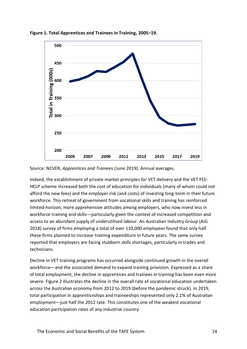

**Figure 1. Total Apprentices and Trainees in Training, 2005–19.**

Source: NCVER, *Apprentices and Trainees* (June 2019). Annual averages.

Indeed, the establishment of private market principles for VET delivery and the VET FEE-HELP scheme increased both the cost of education for individuals (many of whom could not afford the new fees) and the employer risk (and costs) of investing long-term in their future workforce. This retreat of government from vocational skills and training has reinforced limited-horizon, more apprehensive attitudes among employers, who now invest less in workforce training and skills—particularly given the context of increased competition and access to an abundant supply of underutilised labour. An Australian Industry Group (AiG 2018) survey of firms employing a total of over 110,000 employees found that only half these firms planned to increase training expenditure in future years. The same survey reported that employers are facing stubborn skills shortages, particularly in trades and technicians.

Decline in VET training programs has occurred alongside continued growth in the overall workforce—and the associated demand to expand training provision. Expressed as a share of total employment, the decline in apprentices and trainees in training has been even more severe. Figure 2 illustrates the decline in the overall rate of vocational education undertaken across the Australian economy from 2012 to 2019 (before the pandemic struck). In 2019, total participation in apprenticeships and traineeships represented only 2.1% of Australian employment—just half the 2012 rate. This constitutes one of the weakest vocational education participation rates of any industrial country.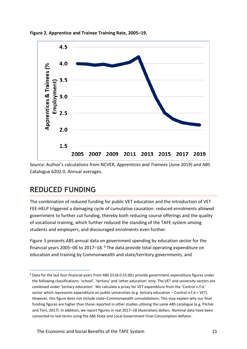



Source: Author's calculations from NCVER, *Apprentices and Trainees* (June 2019) and ABS Catalogue 6202.0. Annual averages.

### <span id="page-14-0"></span>**REDUCED FUNDING**

The combination of reduced funding for public VET education and the introduction of VET FEE-HELP triggered a damaging cycle of cumulative causation: reduced enrolments allowed government to further cut funding, thereby both reducing course offerings and the quality of vocational training, which further reduced the standing of the TAFE system among students and employers, and discouraged enrolments even further.

Figure 3 presents ABS annual data on government spending by education sector for the financial years 2005–06 to 2017–18. $<sup>6</sup>$  The data provide total operating expenditure on</sup> education and training by Commonwealth and state/territory governments, and

<sup>6</sup> Data for the last four financial years from ABS 5518.0.55.001 provide government expenditure figures under the following classifications: 'school', 'tertiary' and 'other education' only. The VET and university sectors are combined under 'tertiary education'. We calculate a proxy for VET expenditure from the 'Control n.f.d.' sector which represents expenditure on public universities (e.g. tertiary education – Control n.f.d = VET). However, this figure does not include state–Commonwealth consolidations. This may explain why our final funding figures are higher than those reported in other studies utilising the same ABS catalogue (e.g. Pilcher and Torii, 2017). In addition, we report figures in real 2017–18 (Australian) dollars. Nominal data have been converted to real terms using the ABS State and Local Government Final Consumption deflator.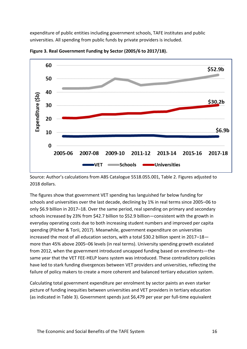expenditure of public entities including government schools, TAFE institutes and public universities. All spending from public funds by private providers is included.



**Figure 3. Real Government Funding by Sector (2005/6 to 2017/18).**

Source: Author's calculations from ABS Catalogue 5518.055.001, Table 2. Figures adjusted to 2018 dollars.

The figures show that government VET spending has languished far below funding for schools and universities over the last decade, declining by 1% in real terms since 2005–06 to only \$6.9 billion in 2017–18. Over the same period, real spending on primary and secondary schools increased by 23% from \$42.7 billion to \$52.9 billion—consistent with the growth in everyday operating costs due to both increasing student numbers and improved per capita spending (Pilcher & Torii, 2017). Meanwhile, government expenditure on universities increased the most of all education sectors, with a total \$30.2 billion spent in 2017–18 more than 45% above 2005–06 levels (in real terms). University spending growth escalated from 2012, when the government introduced uncapped funding based on enrolments—the same year that the VET FEE-HELP loans system was introduced. These contradictory policies have led to stark funding divergences between VET providers and universities, reflecting the failure of policy makers to create a more coherent and balanced tertiary education system.

Calculating total government expenditure per enrolment by sector paints an even starker picture of funding inequities between universities and VET providers in tertiary education (as indicated in Table 3). Government spends just \$6,479 per year per full-time equivalent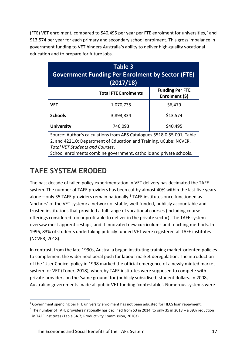(FTE) VET enrolment, compared to \$40,495 per year per FTE enrolment for universities,<sup>7</sup> and \$13,574 per year for each primary and secondary school enrolment. This gross imbalance in government funding to VET hinders Australia's ability to deliver high-quality vocational education and to prepare for future jobs.

| Table 3<br><b>Government Funding Per Enrolment by Sector (FTE)</b><br>(2017/18)                                                                                                                                                                               |                             |                                          |  |
|---------------------------------------------------------------------------------------------------------------------------------------------------------------------------------------------------------------------------------------------------------------|-----------------------------|------------------------------------------|--|
|                                                                                                                                                                                                                                                               | <b>Total FTE Enrolments</b> | <b>Funding Per FTE</b><br>Enrolment (\$) |  |
| <b>VET</b>                                                                                                                                                                                                                                                    | 1,070,735                   | \$6,479                                  |  |
| <b>Schools</b>                                                                                                                                                                                                                                                | 3,893,834                   | \$13,574                                 |  |
| <b>University</b>                                                                                                                                                                                                                                             | \$40,495<br>746,093         |                                          |  |
| Source: Author's calculations from ABS Catalogues 5518.0.55.001, Table<br>2, and 4221.0; Department of Education and Training, uCube; NCVER,<br><b>Total VET Students and Courses.</b><br>School enrolments combine government, catholic and private schools. |                             |                                          |  |

### <span id="page-16-0"></span>**TAFE SYSTEM ERODED**

The past decade of failed policy experimentation in VET delivery has decimated the TAFE system. The number of TAFE providers has been cut by almost 40% within the last five years alone—only 35 TAFE providers remain nationally.<sup>8</sup> TAFE institutes once functioned as 'anchors' of the VET system: a network of stable, well-funded, publicly accountable and trusted institutions that provided a full range of vocational courses (including course offerings considered too unprofitable to deliver in the private sector). The TAFE system oversaw most apprenticeships, and it innovated new curriculums and teaching methods. In 1996, 83% of students undertaking publicly funded VET were registered at TAFE institutes (NCVER, 2018).

In contrast, from the late 1990s, Australia began instituting training market-oriented policies to complement the wider neoliberal push for labour market deregulation. The introduction of the 'User Choice' policy in 1998 marked the official emergence of a newly minted market system for VET (Toner, 2018), whereby TAFE institutes were supposed to compete with private providers on the 'same ground' for (publicly subsidised) student dollars. In 2008, Australian governments made all public VET funding 'contestable'. Numerous systems were

<sup>&</sup>lt;sup>7</sup> Government spending per FTE university enrolment has not been adjusted for HECS loan repayment.

<sup>8</sup> The number of TAFE providers nationally has declined from 53 in 2014, to only 35 in 2018 – a 39% reduction in TAFE institutes (Table 5A.7; Productivity Commission, 2020a).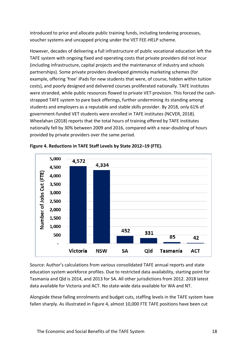introduced to price and allocate public training funds, including tendering processes, voucher systems and uncapped pricing under the VET FEE-HELP scheme.

However, decades of delivering a full infrastructure of public vocational education left the TAFE system with ongoing fixed and operating costs that private providers did not incur (including infrastructure, capital projects and the maintenance of industry and schools partnerships). Some private providers developed gimmicky marketing schemes (for example, offering 'free' iPads for new students that were, of course, hidden within tuition costs), and poorly designed and delivered courses proliferated nationally. TAFE institutes were stranded, while public resources flowed to private VET provision. This forced the cashstrapped TAFE system to pare back offerings, further undermining its standing among students and employers as a reputable and stable skills provider. By 2018, only 61% of government-funded VET students were enrolled in TAFE institutes (NCVER, 2018). Wheelahan (2018) reports that the total hours of training offered by TAFE institutes nationally fell by 30% between 2009 and 2016, compared with a near-doubling of hours provided by private providers over the same period.





Source: Author's calculations from various consolidated TAFE annual reports and state education system workforce profiles. Due to restricted data availability, starting point for Tasmania and Qld is 2014, and 2013 for SA. All other jurisdictions from 2012. 2018 latest data available for Victoria and ACT. No state-wide data available for WA and NT.

Alongside these falling enrolments and budget cuts, staffing levels in the TAFE system have fallen sharply. As illustrated in Figure 4, almost 10,000 FTE TAFE positions have been cut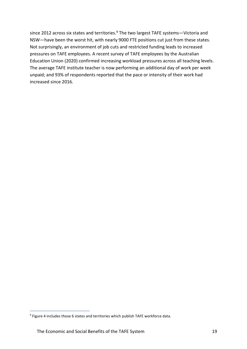since 2012 across six states and territories.<sup>9</sup> The two largest TAFE systems—Victoria and NSW—have been the worst hit, with nearly 9000 FTE positions cut just from these states. Not surprisingly, an environment of job cuts and restricted funding leads to increased pressures on TAFE employees. A recent survey of TAFE employees by the Australian Education Union (2020) confirmed increasing workload pressures across all teaching levels. The average TAFE institute teacher is now performing an additional day of work per week unpaid; and 93% of respondents reported that the pace or intensity of their work had increased since 2016.

<sup>&</sup>lt;sup>9</sup> Figure 4 includes those 6 states and territories which publish TAFE workforce data.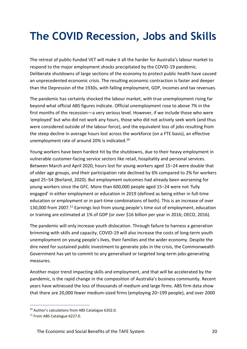## <span id="page-19-0"></span>**The COVID Recession, Jobs and Skills**

The retreat of public-funded VET will make it all the harder for Australia's labour market to respond to the major employment shocks precipitated by the COVID-19 pandemic. Deliberate shutdowns of large sections of the economy to protect public health have caused an unprecedented economic crisis. The resulting economic contraction is faster and deeper than the Depression of the 1930s, with falling employment, GDP, incomes and tax revenues.

The pandemic has certainly shocked the labour market, with true unemployment rising far beyond what official ABS figures indicate. Official unemployment rose to above 7% in the first months of the recession—a very serious level. However, if we include those who were 'employed' but who did not work any hours, those who did not actively seek work (and thus were considered outside of the labour force), and the equivalent loss of jobs resulting from the steep decline in average hours lost across the workforce (on a FTE basis), an effective unemployment rate of around 20% is indicated.<sup>10</sup>

Young workers have been hardest hit by the shutdowns, due to their heavy employment in vulnerable customer-facing service sectors like retail, hospitality and personal services. Between March and April 2020, hours lost for young workers aged 15–24 were double that of older age groups, and their participation rate declined by 6% compared to 2% for workers aged 25–54 (Borland, 2020). But employment outcomes had already been worsening for young workers since the GFC. More than 600,000 people aged 15–24 were not 'fully engaged' in either employment or education in 2019 (defined as being either in full-time education or employment or in part-time combinations of both). This is an increase of over 130,000 from 2007.<sup>11</sup> Earnings lost from young people's time out of employment, education or training are estimated at 1% of GDP (or over \$16 billion per year in 2016; OECD, 2016).

The pandemic will only increase youth dislocation. Through failure to harness a generation brimming with skills and capacity, COVID-19 will also increase the costs of long-term youth unemployment on young people's lives, their families and the wider economy. Despite the dire need for sustained public investment to generate jobs in the crisis, the Commonwealth Government has yet to commit to any generalised or targeted long-term jobs-generating measures.

Another major trend impacting skills and employment, and that will be accelerated by the pandemic, is the rapid change in the composition of Australia's business community. Recent years have witnessed the loss of thousands of medium and large firms. ABS firm data show that there are 20,000 fewer medium-sized firms (employing 20–199 people), and over 2000

<sup>10</sup> Author's calculations from ABS Catalogue 6202.0.

<sup>&</sup>lt;sup>11</sup> From ABS Catalogue 6227.0.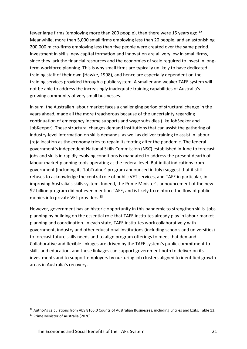fewer large firms (employing more than 200 people), than there were 15 years ago.<sup>12</sup> Meanwhile, more than 5,000 small firms employing less than 20 people, and an astonishing 200,000 micro-firms employing less than five people were created over the same period. Investment in skills, new capital formation and innovation are all very low in small firms, since they lack the financial resources and the economies of scale required to invest in longterm workforce planning. This is why small firms are typically unlikely to have dedicated training staff of their own (Hawke, 1998), and hence are especially dependent on the training services provided through a public system. A smaller and weaker TAFE system will not be able to address the increasingly inadequate training capabilities of Australia's growing community of very small businesses.

In sum, the Australian labour market faces a challenging period of structural change in the years ahead, made all the more treacherous because of the uncertainty regarding continuation of emergency income supports and wage subsidies (like JobSeeker and JobKeeper). These structural changes demand institutions that can assist the gathering of industry-level information on skills demands, as well as deliver training to assist in labour (re)allocation as the economy tries to regain its footing after the pandemic. The federal government's independent National Skills Commission (NSC) established in June to forecast jobs and skills in rapidly evolving conditions is mandated to address the present dearth of labour market planning tools operating at the federal level. But initial indications from government (including its 'JobTrainer' program announced in July) suggest that it still refuses to acknowledge the central role of public VET services, and TAFE in particular, in improving Australia's skills system. Indeed, the Prime Minister's announcement of the new \$2 billion program did not even mention TAFE, and is likely to reinforce the flow of public monies into private VET providers. 13

However, government has an historic opportunity in this pandemic to strengthen skills–jobs planning by building on the essential role that TAFE institutes already play in labour market planning and coordination. In each state, TAFE institutes work collaboratively with government, industry and other educational institutions (including schools and universities) to forecast future skills needs and to align program offerings to meet that demand. Collaborative and flexible linkages are driven by the TAFE system's public commitment to skills and education, and these linkages can support government both to deliver on its investments and to support employers by nurturing job clusters aligned to identified growth areas in Australia's recovery.

<sup>&</sup>lt;sup>12</sup> Author's calculations from ABS 8165.0 Counts of Australian Businesses, including Entries and Exits. Table 13. <sup>13</sup> Prime Minister of Australia (2020).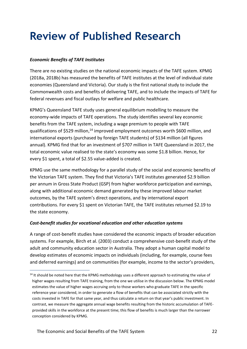## <span id="page-21-0"></span>**Review of Published Research**

#### *Economic Benefits of TAFE Institutes*

There are no existing studies on the national economic impacts of the TAFE system. KPMG (2018a, 2018b) has measured the benefits of TAFE institutes at the level of individual state economies (Queensland and Victoria). Our study is the first national study to include the Commonwealth costs and benefits of delivering TAFE, and to include the impacts of TAFE for federal revenues and fiscal outlays for welfare and public healthcare.

KPMG's Queensland TAFE study uses general equilibrium modelling to measure the economy-wide impacts of TAFE operations. The study identifies several key economic benefits from the TAFE system, including a wage premium to people with TAFE qualifications of \$529 million,<sup>14</sup> improved employment outcomes worth \$600 million, and international exports (purchased by foreign TAFE students) of \$134 million (all figures annual). KPMG find that for an investment of \$707 million in TAFE Queensland in 2017, the total economic value realised to the state's economy was some \$1.8 billion. Hence, for every \$1 spent, a total of \$2.55 value-added is created.

KPMG use the same methodology for a parallel study of the social and economic benefits of the Victorian TAFE system. They find that Victoria's TAFE institutes generated \$2.9 billion per annum in Gross State Product (GSP) from higher workforce participation and earnings, along with additional economic demand generated by these improved labour market outcomes, by the TAFE system's direct operations, and by international export contributions. For every \$1 spent on Victorian TAFE, the TAFE institutes returned \$2.19 to the state economy.

#### *Cost-benefit studies for vocational education and other education systems*

A range of cost-benefit studies have considered the economic impacts of broader education systems. For example, Birch et al. (2003) conduct a comprehensive cost-benefit study of the adult and community education sector in Australia. They adopt a human capital model to develop estimates of economic impacts on individuals (including, for example, course fees and deferred earnings) and on communities (for example, income to the sector's providers,

 $14$  It should be noted here that the KPMG methodology uses a different approach to estimating the value of higher wages resulting from TAFE training, from the one we utilise in the discussion below. The KPMG model estimates the value of higher wages accruing only to those workers who graduate TAFE in the specific reference year considered, in order to generate a flow of benefits that can be associated strictly with the costs invested in TAFE for that same year, and thus calculate a return on that year's public investment. In contrast, we measure the aggregate annual wage benefits resulting from the historic accumulation of TAFEprovided skills in the workforce at the present time; this flow of benefits is much larger than the narrower conception considered by KPMG.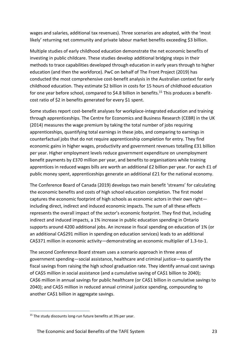wages and salaries, additional tax revenues). Three scenarios are adopted, with the 'most likely' returning net community and private labour market benefits exceeding \$3 billion.

Multiple studies of early childhood education demonstrate the net economic benefits of investing in public childcare. These studies develop additional bridging steps in their methods to trace capabilities developed through education in early years through to higher education (and then the workforce). PwC on behalf of The Front Project (2019) has conducted the most comprehensive cost-benefit analysis in the Australian context for early childhood education. They estimate \$2 billion in costs for 15 hours of childhood education for one year before school, compared to \$4.8 billion in benefits.<sup>15</sup> This produces a benefitcost ratio of \$2 in benefits generated for every \$1 spent.

Some studies report cost-benefit analyses for workplace-integrated education and training through apprenticeships. The Centre for Economics and Business Research (CEBR) in the UK (2014) measures the wage premium by taking the total number of jobs requiring apprenticeships, quantifying total earnings in these jobs, and comparing to earnings in counterfactual jobs that do not require apprenticeship completion for entry. They find economic gains in higher wages, productivity and government revenues totalling £31 billion per year. Higher employment levels reduce government expenditure on unemployment benefit payments by £370 million per year, and benefits to organisations while training apprentices in reduced wages bills are worth an additional £2 billion per year. For each £1 of public money spent, apprenticeships generate an additional £21 for the national economy.

The Conference Board of Canada (2019) develops two main benefit 'streams' for calculating the economic benefits and costs of high school education completion. The first model captures the economic footprint of high schools as economic actors in their own right including direct, indirect and induced economic impacts. The sum of all these effects represents the overall impact of the sector's economic footprint. They find that, including indirect and induced impacts, a 1% increase in public education spending in Ontario supports around 4200 additional jobs. An increase in fiscal spending on education of 1% (or an additional CA\$291 million in spending on education services) leads to an additional CA\$371 million in economic activity—demonstrating an economic multiplier of 1.3-to-1.

The second Conference Board stream uses a scenario approach in three areas of government spending—social assistance, healthcare and criminal justice—to quantify the fiscal savings from raising the high school graduation rate. They identify annual cost savings of CA\$5 million in social assistance (and a cumulative saving of CA\$1 billion to 2040); CA\$6 million in annual savings for public healthcare (or CA\$1 billion in cumulative savings to 2040); and CA\$5 million in reduced annual criminal justice spending, compounding to another CA\$1 billion in aggregate savings.

<sup>&</sup>lt;sup>15</sup> The study discounts long-run future benefits at 3% per year.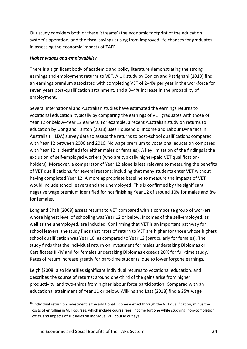Our study considers both of these 'streams' (the economic footprint of the education system's operation, and the fiscal savings arising from improved life chances for graduates) in assessing the economic impacts of TAFE.

#### *Higher wages and employability*

There is a significant body of academic and policy literature demonstrating the strong earnings and employment returns to VET. A UK study by Conlon and Patrignani (2013) find an earnings premium associated with completing VET of 2–4% per year in the workforce for seven years post-qualification attainment, and a 3–4% increase in the probability of employment.

Several international and Australian studies have estimated the earnings returns to vocational education, typically by comparing the earnings of VET graduates with those of Year 12 or below–Year 12 earners. For example, a recent Australian study on returns to education by Gong and Tanton (2018) uses Household, Income and Labour Dynamics in Australia (HILDA) survey data to assess the returns to post-school qualifications compared with Year 12 between 2006 and 2016. No wage premium to vocational education compared with Year 12 is identified (for either males or females). A key limitation of the findings is the exclusion of self-employed workers (who are typically higher-paid VET qualificationholders). Moreover, a comparator of Year 12 alone is less relevant to measuring the benefits of VET qualifications, for several reasons: including that many students enter VET without having completed Year 12. A more appropriate baseline to measure the impacts of VET would include school leavers and the unemployed. This is confirmed by the significant negative wage premium identified for not finishing Year 12 of around 10% for males and 8% for females.

Long and Shah (2008) assess returns to VET compared with a composite group of workers whose highest level of schooling was Year 12 or below. Incomes of the self-employed, as well as the unemployed, are included. Confirming that VET is an important pathway for school leavers, the study finds that rates of return to VET are higher for those whose highest school qualification was Year 10, as compared to Year 12 (particularly for females). The study finds that the individual return on investment for males undertaking Diplomas or Certificates III/IV and for females undertaking Diplomas exceeds 20% for full-time study.<sup>16</sup> Rates of return increase greatly for part-time students, due to lower forgone earnings.

Leigh (2008) also identifies significant individual returns to vocational education, and describes the source of returns: around one-third of the gains arise from higher productivity, and two-thirds from higher labour force participation. Compared with an educational attainment of Year 11 or below, Wilkins and Lass (2018) find a 25% wage

<sup>&</sup>lt;sup>16</sup> Individual return on investment is the additional income earned through the VET qualification, minus the costs of enrolling in VET courses, which include course fees, income forgone while studying, non-completion costs, and impacts of subsidies on individual VET course outlays.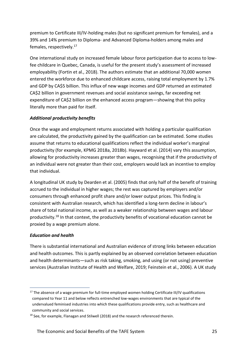premium to Certificate III/IV-holding males (but no significant premium for females), and a 39% and 14% premium to Diploma- and Advanced Diploma-holders among males and females, respectively.<sup>17</sup>

One international study on increased female labour force participation due to access to lowfee childcare in Quebec, Canada, is useful for the present study's assessment of increased employability (Fortin et al., 2018). The authors estimate that an additional 70,000 women entered the workforce due to enhanced childcare access, raising total employment by 1.7% and GDP by CA\$5 billion. This influx of new wage incomes and GDP returned an estimated CA\$2 billion in government revenues and social assistance savings, far exceeding net expenditure of CA\$2 billion on the enhanced access program—showing that this policy literally more than paid for itself.

#### *Additional productivity benefits*

Once the wage and employment returns associated with holding a particular qualification are calculated, the productivity gained by the qualification can be estimated. Some studies assume that returns to educational qualifications reflect the individual worker's marginal productivity (for example, KPMG 2018a, 2018b). Hayward et al. (2014) vary this assumption, allowing for productivity increases greater than wages, recognising that if the productivity of an individual were not greater than their cost, employers would lack an incentive to employ that individual.

A longitudinal UK study by Dearden et al. (2005) finds that only half of the benefit of training accrued to the individual in higher wages; the rest was captured by employers and/or consumers through enhanced profit share and/or lower output prices. This finding is consistent with Australian research, which has identified a long-term decline in labour's share of total national income, as well as a weaker relationship between wages and labour productivity.<sup>18</sup> In that context, the productivity benefits of vocational education cannot be proxied by a wage premium alone.

#### *Education and health*

There is substantial international and Australian evidence of strong links between education and health outcomes. This is partly explained by an observed correlation between education and health determinants—such as risk taking, smoking, and using (or not using) preventive services (Australian Institute of Health and Welfare, 2019; Feinstein et al., 2006). A UK study

<sup>&</sup>lt;sup>17</sup> The absence of a wage premium for full-time employed women holding Certificate III/IV qualifications compared to Year 11 and below reflects entrenched low-wages environments that are typical of the undervalued feminised industries into which these qualifications provide entry, such as healthcare and community and social services.

<sup>&</sup>lt;sup>18</sup> See, for example, Flanagan and Stilwell (2018) and the research referenced therein.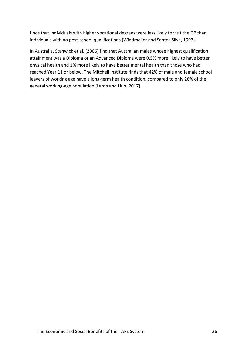finds that individuals with higher vocational degrees were less likely to visit the GP than individuals with no post-school qualifications (Windmeijer and Santos Silva, 1997).

In Australia, Stanwick et al. (2006) find that Australian males whose highest qualification attainment was a Diploma or an Advanced Diploma were 0.5% more likely to have better physical health and 1% more likely to have better mental health than those who had reached Year 11 or below. The Mitchell Institute finds that 42% of male and female school leavers of working age have a long-term health condition, compared to only 26% of the general working-age population (Lamb and Huo, 2017).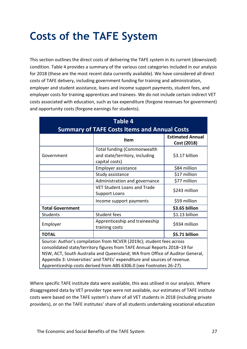## <span id="page-26-0"></span>**Costs of the TAFE System**

This section outlines the direct costs of delivering the TAFE system in its current (downsized) condition. Table 4 provides a summary of the various cost categories included in our analysis for 2018 (these are the most recent data currently available). We have considered all direct costs of TAFE delivery, including government funding for training and administration, employer and student assistance, loans and income support payments, student fees, and employer costs for training apprentices and trainees. We do not include certain indirect VET costs associated with education, such as tax expenditure (forgone revenues for government) and opportunity costs (forgone earnings for students).

| <b>Table 4</b>                                                      |                                                                                                                                                                                                                                                                                                               |                                        |  |  |
|---------------------------------------------------------------------|---------------------------------------------------------------------------------------------------------------------------------------------------------------------------------------------------------------------------------------------------------------------------------------------------------------|----------------------------------------|--|--|
| <b>Summary of TAFE Costs Items and Annual Costs</b>                 |                                                                                                                                                                                                                                                                                                               |                                        |  |  |
|                                                                     | <b>Item</b>                                                                                                                                                                                                                                                                                                   | <b>Estimated Annual</b><br>Cost (2018) |  |  |
| Government                                                          | Total funding (Commonwealth<br>and state/territory, including<br>capital costs)                                                                                                                                                                                                                               | \$3.17 billion                         |  |  |
|                                                                     | Employer assistance                                                                                                                                                                                                                                                                                           | \$84 million                           |  |  |
|                                                                     | Study assistance                                                                                                                                                                                                                                                                                              | \$17 million                           |  |  |
|                                                                     | Administration and governance                                                                                                                                                                                                                                                                                 | \$77 million                           |  |  |
|                                                                     | <b>VET Student Loans and Trade</b><br><b>Support Loans</b>                                                                                                                                                                                                                                                    | \$243 million                          |  |  |
|                                                                     | Income support payments                                                                                                                                                                                                                                                                                       | \$59 million                           |  |  |
| \$3.65 billion<br><b>Total Government</b>                           |                                                                                                                                                                                                                                                                                                               |                                        |  |  |
| <b>Students</b>                                                     | <b>Student fees</b>                                                                                                                                                                                                                                                                                           | \$1.13 billion                         |  |  |
| Employer                                                            | Apprenticeship and traineeship<br>training costs                                                                                                                                                                                                                                                              | \$934 million                          |  |  |
| <b>TOTAL</b>                                                        | \$5.71 billion                                                                                                                                                                                                                                                                                                |                                        |  |  |
|                                                                     | Source: Author's compilation from NCVER (2019c); student fees across<br>consolidated state/territory figures from TAFE Annual Reports 2018-19 for<br>NSW, ACT, South Australia and Queensland; WA from Office of Auditor General,<br>Appendix 3: Universities' and TAFEs' expenditure and sources of revenue. |                                        |  |  |
| Apprenticeship costs derived from ABS 6306.0 (see Footnotes 26-27). |                                                                                                                                                                                                                                                                                                               |                                        |  |  |

Where specific TAFE institute data were available, this was utilised in our analysis. Where disaggregated data by VET provider type were not available, our estimates of TAFE institute costs were based on the TAFE system's share of all VET students in 2018 (including private providers), or on the TAFE institutes' share of all students undertaking vocational education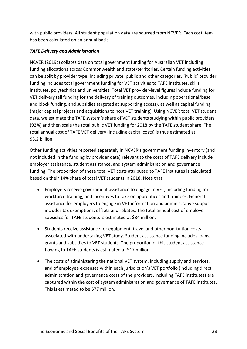with public providers. All student population data are sourced from NCVER. Each cost item has been calculated on an annual basis.

#### *TAFE Delivery and Administration*

NCVER (2019c) collates data on total government funding for Australian VET including funding allocations across Commonwealth and state/territories. Certain funding activities can be split by provider type, including private, public and other categories. 'Public' provider funding includes total government funding for VET activities to TAFE institutes, skills institutes, polytechnics and universities. Total VET provider-level figures include funding for VET delivery (all funding for the delivery of training outcomes, including operational/base and block funding, and subsidies targeted at supporting access), as well as capital funding (major capital projects and acquisitions to host VET training). Using NCVER total VET student data, we estimate the TAFE system's share of VET students studying within public providers (92%) and then scale the total public VET funding for 2018 by the TAFE student share. The total annual cost of TAFE VET delivery (including capital costs) is thus estimated at \$3.2 billion.

Other funding activities reported separately in NCVER's government funding inventory (and not included in the funding by provider data) relevant to the costs of TAFE delivery include employer assistance, student assistance, and system administration and governance funding. The proportion of these total VET costs attributed to TAFE institutes is calculated based on their 14% share of total VET students in 2018. Note that:

- Employers receive government assistance to engage in VET, including funding for workforce training, and incentives to take on apprentices and trainees. General assistance for employers to engage in VET information and administrative support includes tax exemptions, offsets and rebates. The total annual cost of employer subsidies for TAFE students is estimated at \$84 million.
- Students receive assistance for equipment, travel and other non-tuition costs associated with undertaking VET study. Student assistance funding includes loans, grants and subsidies to VET students. The proportion of this student assistance flowing to TAFE students is estimated at \$17 million.
- The costs of administering the national VET system, including supply and services, and of employee expenses within each jurisdiction's VET portfolio (including direct administration and governance costs of the providers, including TAFE institutes) are captured within the cost of system administration and governance of TAFE institutes. This is estimated to be \$77 million.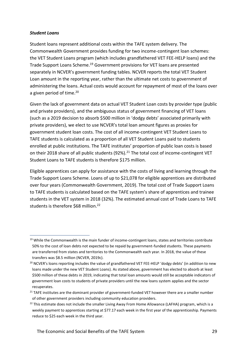#### *Student Loans*

Student loans represent additional costs within the TAFE system delivery. The Commonwealth Government provides funding for two income-contingent loan schemes: the VET Student Loans program (which includes grandfathered VET FEE-HELP loans) and the Trade Support Loans Scheme.<sup>19</sup> Government provisions for VET loans are presented separately in NCVER's government funding tables. NCVER reports the total VET Student Loan amount in the reporting year, rather than the ultimate net costs to government of administering the loans. Actual costs would account for repayment of most of the loans over a given period of time.<sup>20</sup>

Given the lack of government data on actual VET Student Loan costs by provider type (public and private providers), and the ambiguous status of government financing of VET loans (such as a 2019 decision to absorb \$500 million in 'dodgy debts' associated primarily with private providers), we elect to use NCVER's total loan amount figures as proxies for government student loan costs. The cost of all income-contingent VET Student Loans to TAFE students is calculated as a proportion of all VET Student Loans paid to students enrolled at public institutions. The TAFE institutes' proportion of public loan costs is based on their 2018 share of all public students (92%).<sup>21</sup> The total cost of income-contingent VET Student Loans to TAFE students is therefore \$175 million.

Eligible apprentices can apply for assistance with the costs of living and learning through the Trade Support Loans Scheme. Loans of up to \$21,078 for eligible apprentices are distributed over four years (Commonwealth Government, 2019). The total cost of Trade Support Loans to TAFE students is calculated based on the TAFE system's share of apprentices and trainee students in the VET system in 2018 (32%). The estimated annual cost of Trade Loans to TAFE students is therefore \$68 million.<sup>22</sup>

<sup>&</sup>lt;sup>19</sup> While the Commonwealth is the main funder of income-contingent loans, states and territories contribute 50% to the cost of loan debts not expected to be repaid by government-funded students. These payments are transferred from states and territories to the Commonwealth each year. In 2018, the value of these transfers was \$8.5 million (NCVER, 2019c).

<sup>&</sup>lt;sup>20</sup> NCVER's loans reporting includes the value of grandfathered VET FEE-HELP 'dodgy debts' (in addition to new loans made under the new VET Student Loans). As stated above, government has elected to absorb at least \$500 million of these debts in 2019, indicating that total loan amounts would still be acceptable indicators of government loan costs to students of private providers until the new loans system applies and the sector recuperates.

 $21$  TAFE institutes are the dominant provider of government-funded VET however there are a smaller number of other government providers including community education providers.

<sup>&</sup>lt;sup>22</sup> This estimate does not include the smaller Living Away From Home Allowance (LAFHA) program, which is a weekly payment to apprentices starting at \$77.17 each week in the first year of the apprenticeship. Payments reduce to \$25 each week in the third year.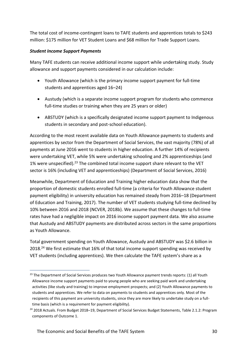The total cost of income-contingent loans to TAFE students and apprentices totals to \$243 million: \$175 million for VET Student Loans and \$68 million for Trade Support Loans.

#### *Student Income Support Payments*

Many TAFE students can receive additional income support while undertaking study. Study allowance and support payments considered in our calculation include:

- Youth Allowance (which is the primary income support payment for full-time students and apprentices aged 16–24)
- Austudy (which is a separate income support program for students who commence full-time studies or training when they are 25 years or older)
- ABSTUDY (which is a specifically designated income support payment to Indigenous students in secondary and post-school education).

According to the most recent available data on Youth Allowance payments to students and apprentices by sector from the Department of Social Services, the vast majority (78%) of all payments at June 2016 went to students in higher education. A further 14% of recipients were undertaking VET, while 5% were undertaking schooling and 2% apprenticeships (and 1% were unspecified).<sup>23</sup> The combined total income support share relevant to the VET sector is 16% (including VET and apprenticeships) (Department of Social Services, 2016)

Meanwhile, Department of Education and Training higher education data show that the proportion of domestic students enrolled full-time (a criteria for Youth Allowance student payment eligibility) in university education has remained steady from 2016–18 (Department of Education and Training, 2017). The number of VET students studying full-time declined by 10% between 2016 and 2018 (NCVER, 2018b). We assume that these changes to full-time rates have had a negligible impact on 2016 income support payment data. We also assume that Austudy and ABSTUDY payments are distributed across sectors in the same proportions as Youth Allowance.

Total government spending on Youth Allowance, Austudy and ABSTUDY was \$2.6 billion in 2018.<sup>24</sup> We first estimate that 16% of that total income support spending was received by VET students (including apprentices). We then calculate the TAFE system's share as a

<sup>&</sup>lt;sup>23</sup> The Department of Social Services produces two Youth Allowance payment trends reports: (1) all Youth Allowance income support payments paid to young people who are seeking paid work and undertaking activities (like study and training) to improve employment prospects; and (2) Youth Allowance payments to students and apprentices. We refer to data on payments to students and apprentices only. Most of the recipients of this payment are university students, since they are more likely to undertake study on a fulltime basis (which is a requirement for payment eligibility).

<sup>&</sup>lt;sup>24</sup> 2018 Actuals. From Budget 2018–19, Department of Social Services Budget Statements, Table 2.1.2: Program components of Outcome 1.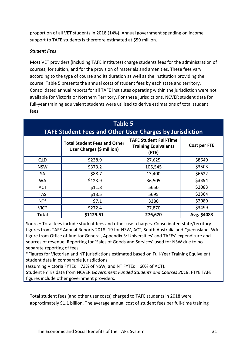proportion of all VET students in 2018 (14%). Annual government spending on income support to TAFE students is therefore estimated at \$59 million.

#### *Student Fees*

Most VET providers (including TAFE institutes) charge students fees for the administration of courses, for tuition, and for the provision of materials and amenities. These fees vary according to the type of course and its duration as well as the institution providing the course. Table 5 presents the annual costs of student fees by each state and territory. Consolidated annual reports for all TAFE institutes operating within the jurisdiction were not available for Victoria or Northern Territory. For these jurisdictions, NCVER student data for full-year training equivalent students were utilised to derive estimations of total student fees.

| <b>Table 5</b><br><b>TAFE Student Fees and Other User Charges by Jurisdiction</b> |                                                                  |                                                                       |              |
|-----------------------------------------------------------------------------------|------------------------------------------------------------------|-----------------------------------------------------------------------|--------------|
|                                                                                   | <b>Total Student Fees and Other</b><br>User Charges (\$ million) | <b>TAFE Student Full-Time</b><br><b>Training Equivalents</b><br>(FTE) | Cost per FTE |
| <b>QLD</b>                                                                        | \$238.9                                                          | 27,625                                                                | \$8649       |
| <b>NSW</b>                                                                        | \$373.2                                                          | 106,545                                                               | \$3503       |
| <b>SA</b>                                                                         | \$88.7                                                           | 13,400                                                                | \$6622       |
| <b>WA</b>                                                                         | \$123.9                                                          | 36,505                                                                | \$3394       |
| <b>ACT</b>                                                                        | \$11.8                                                           | 5650                                                                  | \$2083       |
| <b>TAS</b>                                                                        | \$13.5                                                           | 5695                                                                  | \$2364       |
| $NT*$                                                                             | \$7.1                                                            | 3380                                                                  | \$2089       |
| VIC*                                                                              | \$272.4                                                          | 77,870                                                                | \$3499       |
| <b>Total</b>                                                                      | \$1129.51                                                        | 276,670                                                               | Avg. \$4083  |

Source: Total fees include student fees and other user charges. Consolidated state/territory figures from TAFE Annual Reports 2018–19 for NSW, ACT, South Australia and Queensland. WA figure from Office of Auditor General, Appendix 3: Universities' and TAFEs' expenditure and sources of revenue. Reporting for 'Sales of Goods and Services' used for NSW due to no separate reporting of fees.

\*Figures for Victorian and NT jurisdictions estimated based on Full-Year Training Equivalent student data in comparable jurisdictions

(assuming Victoria FYTEs = 73% of NSW, and NT FYTEs = 60% of ACT).

Student FYTEs data from NCVER *Government Funded Students and Courses 2018*. FTYE TAFE figures include other government providers.

Total student fees (and other user costs) charged to TAFE students in 2018 were approximately \$1.1 billion. The average annual cost of student fees per full-time training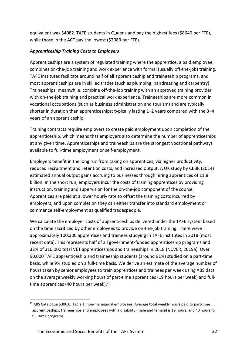equivalent was \$4082. TAFE students in Queensland pay the highest fees (\$8649 per FTE), while those in the ACT pay the lowest (\$2083 per FTE).

#### *Apprenticeship Training Costs to Employers*

Apprenticeships are a system of regulated training where the apprentice, a paid employee, combines on-the-job training and work experience with formal (usually off-the-job) training. TAFE institutes facilitate around half of all apprenticeship and traineeship programs, and most apprenticeships are in skilled trades (such as plumbing, hairdressing and carpentry). Traineeships, meanwhile, combine off-the-job training with an approved training provider with on-the-job training and practical work experience. Traineeships are more common in vocational occupations (such as business administration and tourism) and are typically shorter in duration than apprenticeships: typically lasting 1–2 years compared with the 3–4 years of an apprenticeship.

Training contracts require employers to create paid employment upon completion of the apprenticeship, which means that employers also determine the number of apprenticeships at any given time. Apprenticeships and traineeships are the strongest vocational pathways available to full-time employment or self-employment.

Employers benefit in the long run from taking on apprentices, via higher productivity, reduced recruitment and retention costs, and increased output. A UK study by CEBR (2014) estimated annual output gains accruing to businesses through hiring apprentices of £1.8 billion. In the short run, employers incur the costs of training apprentices by providing instruction, training and supervision for the on-the-job component of the course. Apprentices are paid at a lower hourly rate to offset the training costs incurred by employers, and upon completion they can either transfer into standard employment or commence self-employment as qualified tradespeople.

We calculate the employer costs of apprenticeships delivered under the TAFE system based on the time sacrificed by other employees to provide on-the-job training. There were approximately 100,300 apprentices and trainees studying in TAFE institutes in 2018 (most recent data). This represents half of all government-funded apprenticeship programs and 32% of 310,000 total VET apprenticeships and traineeships in 2018 (NCVER, 2019a). Over 90,000 TAFE apprenticeship and traineeship students (around 91%) studied on a part-time basis, while 9% studied on a full-time basis. We derive an estimate of the average number of hours taken by senior employees to train apprentices and trainees per week using ABS data on the average weekly working hours of part-time apprentices (19 hours per week) and fulltime apprentices (40 hours per week).<sup>25</sup>

<sup>&</sup>lt;sup>25</sup> ABS Catalogue 6306.0, Table 1, non-managerial employees. Average total weekly hours paid to part-time apprenticeships, traineeships and employees with a disability (male and female) is 19 hours, and 40 hours for full-time programs.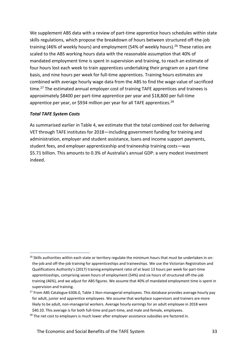We supplement ABS data with a review of part-time apprentice hours schedules within state skills regulations, which propose the breakdown of hours between structured off-the-job training (46% of weekly hours) and employment (54% of weekly hours).<sup>26</sup> These ratios are scaled to the ABS working hours data with the reasonable assumption that 40% of mandated employment time is spent in supervision and training, to reach an estimate of four hours lost each week to train apprentices undertaking their program on a part-time basis, and nine hours per week for full-time apprentices. Training hours estimates are combined with average hourly wage data from the ABS to find the wage value of sacrificed time.<sup>27</sup> The estimated annual employer cost of training TAFE apprentices and trainees is approximately \$8400 per part-time apprentice per year and \$18,800 per full-time apprentice per year, or \$934 million per year for all TAFE apprentices.<sup>28</sup>

#### *Total TAFE System Costs*

As summarised earlier in Table 4, we estimate that the total combined cost for delivering VET through TAFE institutes for 2018—including government funding for training and administration, employer and student assistance, loans and income support payments, student fees, and employer apprenticeship and traineeship training costs—was \$5.71 billion. This amounts to 0.3% of Australia's annual GDP: a very modest investment indeed.

<sup>&</sup>lt;sup>26</sup> Skills authorities within each state or territory regulate the minimum hours that must be undertaken in onthe-job and off-the-job training for apprenticeships and traineeships. We use the Victorian Registration and Qualifications Authority's (2017) training:employment ratio of at least 13 hours per week for part-time apprenticeships, comprising seven hours of employment (54%) and six hours of structured off-the-job training (46%), and we adjust for ABS figures. We assume that 40% of mandated employment time is spent in supervision and training.

<sup>&</sup>lt;sup>27</sup> From ABS Catalogue 6306.0, Table 1 Non-managerial employees. This database provides average hourly pay for adult, junior and apprentice employees. We assume that workplace supervisors and trainers are more likely to be adult, non-managerial workers. Average hourly earnings for an adult employee in 2018 were \$40.10. This average is for both full-time and part-time, and male and female, employees.

 $28$  The net cost to employers is much lower after employer assistance subsidies are factored in.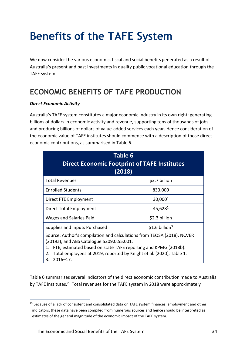## <span id="page-33-0"></span>**Benefits of the TAFE System**

We now consider the various economic, fiscal and social benefits generated as a result of Australia's present and past investments in quality public vocational education through the TAFE system.

### <span id="page-33-1"></span>**ECONOMIC BENEFITS OF TAFE PRODUCTION**

#### *Direct Economic Activity*

Australia's TAFE system constitutes a major economic industry in its own right: generating billions of dollars in economic activity and revenue, supporting tens of thousands of jobs and producing billions of dollars of value-added services each year. Hence consideration of the economic value of TAFE institutes should commence with a description of those direct economic contributions, as summarised in Table 6.

| Table 6<br><b>Direct Economic Footprint of TAFE Institutes</b><br>(2018)                                                                                                                                                                                                                        |                     |  |  |  |
|-------------------------------------------------------------------------------------------------------------------------------------------------------------------------------------------------------------------------------------------------------------------------------------------------|---------------------|--|--|--|
| <b>Total Revenues</b>                                                                                                                                                                                                                                                                           | \$3.7 billion       |  |  |  |
| <b>Enrolled Students</b>                                                                                                                                                                                                                                                                        | 833,000             |  |  |  |
| Direct FTE Employment                                                                                                                                                                                                                                                                           | 30,000 <sup>1</sup> |  |  |  |
| Direct Total Employment                                                                                                                                                                                                                                                                         | 45,628 <sup>2</sup> |  |  |  |
| Wages and Salaries Paid                                                                                                                                                                                                                                                                         | \$2.3 billion       |  |  |  |
| Supplies and Inputs Purchased                                                                                                                                                                                                                                                                   | \$1.6 billion $3$   |  |  |  |
| Source: Author's compilation and calculations from TEQSA (2018), NCVER<br>(2019a), and ABS Catalogue 5209.0.55.001.<br>FTE, estimated based on state TAFE reporting and KPMG (2018b).<br>1.<br>Total employees at 2019, reported by Knight et al. (2020), Table 1.<br>2.<br>$2016 - 17$ .<br>З. |                     |  |  |  |

Table 6 summarises several indicators of the direct economic contribution made to Australia by TAFE institutes.<sup>29</sup> Total revenues for the TAFE system in 2018 were approximately

<sup>&</sup>lt;sup>29</sup> Because of a lack of consistent and consolidated data on TAFE system finances, employment and other indicators, these data have been compiled from numerous sources and hence should be interpreted as estimates of the general magnitude of the economic impact of the TAFE system.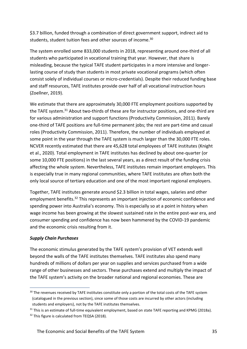\$3.7 billion, funded through a combination of direct government support, indirect aid to students, student tuition fees and other sources of income.<sup>30</sup>

The system enrolled some 833,000 students in 2018, representing around one-third of all students who participated in vocational training that year. However, that share is misleading, because the typical TAFE student participates in a more intensive and longerlasting course of study than students in most private vocational programs (which often consist solely of individual courses or micro-credentials). Despite their reduced funding base and staff resources, TAFE institutes provide over half of all vocational instruction hours (Zoellner, 2019).

We estimate that there are approximately 30,000 FTE employment positions supported by the TAFE system.<sup>31</sup> About two-thirds of these are for instructor positions, and one-third are for various administration and support functions (Productivity Commission, 2011). Barely one-third of TAFE positions are full-time permanent jobs; the rest are part-time and casual roles (Productivity Commission, 2011). Therefore, the number of individuals employed at some point in the year through the TAFE system is much larger than the 30,000 FTE roles. NCVER recently estimated that there are 45,628 total employees of TAFE institutes (Knight et al., 2020). Total employment in TAFE institutes has declined by about one-quarter (or some 10,000 FTE positions) in the last several years, as a direct result of the funding crisis affecting the whole system. Nevertheless, TAFE institutes remain important employers. This is especially true in many regional communities, where TAFE institutes are often both the only local source of tertiary education and one of the most important regional employers.

Together, TAFE institutes generate around \$2.3 billion in total wages, salaries and other employment benefits.<sup>32</sup> This represents an important injection of economic confidence and spending power into Australia's economy. This is especially so at a point in history when wage income has been growing at the slowest sustained rate in the entire post-war era, and consumer spending and confidence has now been hammered by the COVID-19 pandemic and the economic crisis resulting from it.

#### *Supply Chain Purchases*

The economic stimulus generated by the TAFE system's provision of VET extends well beyond the walls of the TAFE institutes themselves. TAFE institutes also spend many hundreds of millions of dollars per year on supplies and services purchased from a wide range of other businesses and sectors. These purchases extend and multiply the impact of the TAFE system's activity on the broader national and regional economies. These are

<sup>&</sup>lt;sup>30</sup> The revenues received by TAFE institutes constitute only a portion of the total costs of the TAFE system (catalogued in the previous section), since some of those costs are incurred by other actors (including students and employers), not by the TAFE institutes themselves.

<sup>&</sup>lt;sup>31</sup> This is an estimate of full-time equivalent employment, based on state TAFE reporting and KPMG (2018a). <sup>32</sup> This figure is calculated from TEQSA (2018).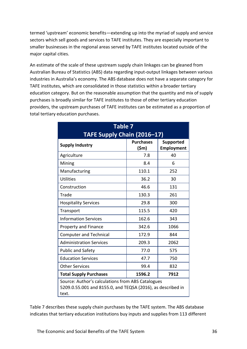termed 'upstream' economic benefits—extending up into the myriad of supply and service sectors which sell goods and services to TAFE institutes. They are especially important to smaller businesses in the regional areas served by TAFE institutes located outside of the major capital cities.

An estimate of the scale of these upstream supply chain linkages can be gleaned from Australian Bureau of Statistics (ABS) data regarding input-output linkages between various industries in Australia's economy. The ABS database does not have a separate category for TAFE institutes, which are consolidated in those statistics within a broader tertiary education category. But on the reasonable assumption that the quantity and mix of supply purchases is broadly similar for TAFE institutes to those of other tertiary education providers, the upstream purchases of TAFE institutes can be estimated as a proportion of total tertiary education purchases.

| <b>Table 7</b><br>TAFE Supply Chain (2016-17)                                                                             |                                     |                                       |  |
|---------------------------------------------------------------------------------------------------------------------------|-------------------------------------|---------------------------------------|--|
| <b>Supply Industry</b>                                                                                                    | <b>Purchases</b><br>$(\mathsf{5m})$ | <b>Supported</b><br><b>Employment</b> |  |
| Agriculture                                                                                                               | 7.8                                 | 40                                    |  |
| Mining                                                                                                                    | 8.4                                 | 6                                     |  |
| Manufacturing                                                                                                             | 110.1                               | 252                                   |  |
| <b>Utilities</b>                                                                                                          | 36.2                                | 30                                    |  |
| Construction                                                                                                              | 46.6                                | 131                                   |  |
| Trade                                                                                                                     | 130.3                               | 261                                   |  |
| <b>Hospitality Services</b>                                                                                               | 29.8                                | 300                                   |  |
| Transport                                                                                                                 | 115.5                               | 420                                   |  |
| <b>Information Services</b>                                                                                               | 162.6                               | 343                                   |  |
| <b>Property and Finance</b>                                                                                               | 342.6                               | 1066                                  |  |
| <b>Computer and Technical</b>                                                                                             | 172.9                               | 844                                   |  |
| <b>Administration Services</b>                                                                                            | 209.3                               | 2062                                  |  |
| <b>Public and Safety</b>                                                                                                  | 77.0                                | 575                                   |  |
| <b>Education Services</b>                                                                                                 | 47.7                                | 750                                   |  |
| <b>Other Services</b>                                                                                                     | 99.4                                | 832                                   |  |
| <b>Total Supply Purchases</b><br>1596.2<br>7912                                                                           |                                     |                                       |  |
| Source: Author's calculations from ABS Catalogues<br>5209.0.55.001 and 8155.0, and TEQSA (2016), as described in<br>text. |                                     |                                       |  |

Table 7 describes these supply chain purchases by the TAFE system. The ABS database indicates that tertiary education institutions buy inputs and supplies from 113 different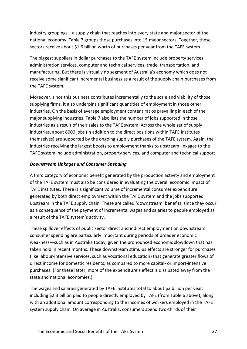industry groupings—a supply chain that reaches into every state and major sector of the national economy. Table 7 groups those purchases into 15 major sectors. Together, these sectors receive about \$1.6 billion worth of purchases per year from the TAFE system.

The biggest suppliers in dollar purchases to the TAFE system include property services, administration services, computer and technical services, trade, transportation, and manufacturing. But there is virtually no segment of Australia's economy which does not receive some significant incremental business as a result of the supply chain purchases from the TAFE system.

Moreover, since this business contributes incrementally to the scale and viability of those supplying firms, it also underpins significant quantities of employment in those other industries. On the basis of average employment content ratios prevailing in each of the major supplying industries, Table 7 also lists the number of jobs supported in those industries as a result of their sales to the TAFE system. Across the whole set of supply industries, about 8000 jobs (in addition to the direct positions within TAFE institutes themselves) are supported by the ongoing supply purchases of the TAFE system. Again, the industries receiving the largest boosts to employment thanks to upstream linkages to the TAFE system include administration, property services, and computer and technical support.

#### *Downstream Linkages and Consumer Spending*

A third category of economic benefit generated by the production activity and employment of the TAFE system must also be considered in evaluating the overall economic impact of TAFE institutes. There is a significant volume of incremental consumer expenditure generated by both direct employment within the TAFE system and the jobs supported upstream in the TAFE supply chain. These are called 'downstream' benefits, since they occur as a consequence of the payment of incremental wages and salaries to people employed as a result of the TAFE system's activity.

These spillover effects of public sector direct and indirect employment on downstream consumer spending are particularly important during periods of broader economic weakness—such as in Australia today, given the pronounced economic slowdown that has taken hold in recent months. These downstream stimulus effects are stronger for purchases (like labour-intensive services, such as vocational education) that generate greater flows of direct income for domestic residents, as compared to more capital- or import-intensive purchases. (For these latter, more of the expenditure's effect is dissipated away from the state and national economies.)

The wages and salaries generated by TAFE institutes total to about \$3 billion per year: including \$2.3 billion paid to people directly employed by TAFE (from Table 6 above), along with an additional amount corresponding to the incomes of workers employed in the TAFE system supply chain. On average in Australia, consumers spend two-thirds of their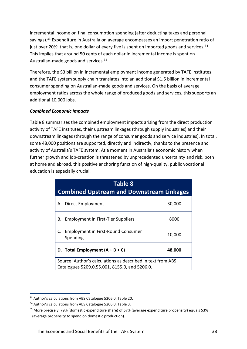incremental income on final consumption spending (after deducting taxes and personal savings).<sup>33</sup> Expenditure in Australia on average encompasses an import penetration ratio of just over 20%: that is, one dollar of every five is spent on imported goods and services.<sup>34</sup> This implies that around 50 cents of each dollar in incremental income is spent on Australian-made goods and services.<sup>35</sup>

Therefore, the \$3 billion in incremental employment income generated by TAFE institutes and the TAFE system supply chain translates into an additional \$1.5 billion in incremental consumer spending on Australian-made goods and services. On the basis of average employment ratios across the whole range of produced goods and services, this supports an additional 10,000 jobs.

#### *Combined Economic Impacts*

Table 8 summarises the combined employment impacts arising from the direct production activity of TAFE institutes, their upstream linkages (through supply industries) and their downstream linkages (through the range of consumer goods and service industries). In total, some 48,000 positions are supported, directly and indirectly, thanks to the presence and activity of Australia's TAFE system. At a moment in Australia's economic history when further growth and job-creation is threatened by unprecedented uncertainty and risk, both at home and abroad, this positive anchoring function of high-quality, public vocational education is especially crucial.

| <b>Table 8</b><br><b>Combined Upstream and Downstream Linkages</b>                                           |        |  |
|--------------------------------------------------------------------------------------------------------------|--------|--|
| A. Direct Employment                                                                                         | 30,000 |  |
| <b>Employment in First-Tier Suppliers</b><br>В.                                                              | 8000   |  |
| C. Employment in First-Round Consumer<br>Spending                                                            | 10,000 |  |
| D. Total Employment $(A + B + C)$<br>48,000                                                                  |        |  |
| Source: Author's calculations as described in text from ABS<br>Catalogues 5209.0.55.001, 8155.0, and 5206.0. |        |  |

<sup>&</sup>lt;sup>33</sup> Author's calculations from ABS Catalogue 5206.0, Table 20.

<sup>&</sup>lt;sup>34</sup> Author's calculations from ABS Catalogue 5206.0, Table 3.

<sup>35</sup> More precisely, 79% (domestic expenditure share) of 67% (average expenditure propensity) equals 53% (average propensity to spend on domestic production).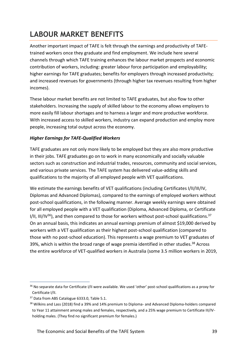## <span id="page-38-0"></span>**LABOUR MARKET BENEFITS**

Another important impact of TAFE is felt through the earnings and productivity of TAFEtrained workers once they graduate and find employment. We include here several channels through which TAFE training enhances the labour market prospects and economic contribution of workers, including: greater labour force participation and employability; higher earnings for TAFE graduates; benefits for employers through increased productivity; and increased revenues for governments (through higher tax revenues resulting from higher incomes).

These labour market benefits are not limited to TAFE graduates, but also flow to other stakeholders. Increasing the supply of skilled labour to the economy allows employers to more easily fill labour shortages and to harness a larger and more productive workforce. With increased access to skilled workers, industry can expand production and employ more people, increasing total output across the economy.

#### *Higher Earnings for TAFE-Qualified Workers*

TAFE graduates are not only more likely to be employed but they are also more productive in their jobs. TAFE graduates go on to work in many economically and socially valuable sectors such as construction and industrial trades, resources, community and social services, and various private services. The TAFE system has delivered value-adding skills and qualifications to the majority of all employed people with VET qualifications.

We estimate the earnings benefits of VET qualifications (including Certificates I/II/III/IV, Diplomas and Advanced Diplomas), compared to the earnings of employed workers without post-school qualifications, in the following manner. Average weekly earnings were obtained for all employed people with a VET qualification (Diploma, Advanced Diploma, or Certificate I/II, III/IV<sup>36</sup>), and then compared to those for workers without post-school qualifications.<sup>37</sup> On an annual basis, this indicates an annual earnings premium of almost \$19,000 derived by workers with a VET qualification as their highest post-school qualification (compared to those with no post-school education). This represents a wage premium to VET graduates of 39%, which is within the broad range of wage premia identified in other studies.<sup>38</sup> Across the entire workforce of VET-qualified workers in Australia (some 3.5 million workers in 2019,

<sup>&</sup>lt;sup>36</sup> No separate data for Certificate I/II were available. We used 'other' post-school qualifications as a proxy for Certificate I/II.

<sup>&</sup>lt;sup>37</sup> Data from ABS Catalogue 6333.0, Table 5.1.

<sup>38</sup> Wilkins and Lass (2018) find a 39% and 14% premium to Diploma- and Advanced Diploma-holders compared to Year 11 attainment among males and females, respectively, and a 25% wage premium to Certificate III/IVholding males. (They find no significant premium for females.)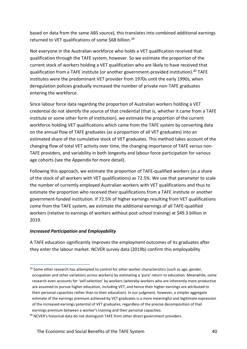based on data from the same ABS source), this translates into combined additional earnings returned to VET qualifications of some \$68 billion.<sup>39</sup>

Not everyone in the Australian workforce who holds a VET qualification received that qualification through the TAFE system, however. So we estimate the proportion of the current stock of workers holding a VET qualification who are likely to have received that qualification from a TAFE institute (or another government-provided institution).<sup>40</sup> TAFE institutes were the predominant VET provider from 1970s until the early 1990s, when deregulation policies gradually increased the number of private non-TAFE graduates entering the workforce.

Since labour force data regarding the proportion of Australian workers holding a VET credential do not identify the source of that credential (that is, whether it came from a TAFE institute or some other form of institution), we estimate the proportion of the current workforce holding VET qualifications which came from the TAFE system by converting data on the annual flow of TAFE graduates (as a proportion of all VET graduates) into an estimated share of the cumulative stock of VET graduates. This method takes account of the changing flow of total VET activity over time, the changing importance of TAFE versus non-TAFE providers, and variability in both longevity and labour force participation for various age cohorts (see the Appendix for more detail).

Following this approach, we estimate the proportion of TAFE-qualified workers (as a share of the stock of all workers with VET qualifications) as 72.5%. We use that parameter to scale the number of currently employed Australian workers with VET qualifications and thus to estimate the proportion who received their qualifications from a TAFE institute or another government-funded institution. If 72.5% of higher earnings resulting from VET qualifications come from the TAFE system, we estimate the additional earnings of all TAFE-qualified workers (relative to earnings of workers without post-school training) at \$49.3 billion in 2019.

#### *Increased Participation and Employability*

A TAFE education significantly improves the employment outcomes of its graduates after they enter the labour market. NCVER survey data (2019b) confirm this employability

 $39$  Some other research has attempted to control for other worker characteristics (such as age, gender, occupation and other variations across workers) by estimating a 'pure' return to education. Meanwhile, some research even accounts for 'self-selection' by workers (whereby workers who are inherently more productive are assumed to pursue higher education, including VET, and hence their higher earnings are attributed to their personal capacities rather than to their education). In our judgment, however, a simpler aggregate estimate of the earnings premium achieved by VET graduates is a more meaningful and legitimate expression of the increased earnings potential of VET graduates, regardless of the precise decomposition of that earnings premium between a worker's training and their personal capacities.

<sup>&</sup>lt;sup>40</sup> NCVER's historical data do not distinguish TAFE from other direct government providers.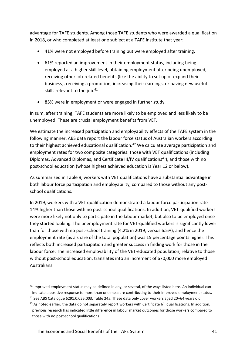advantage for TAFE students. Among those TAFE students who were awarded a qualification in 2018, or who completed at least one subject at a TAFE institute that year:

- 41% were not employed before training but were employed after training.
- 61% reported an improvement in their employment status, including being employed at a higher skill level, obtaining employment after being unemployed, receiving other job-related benefits (like the ability to set up or expand their business), receiving a promotion, increasing their earnings, or having new useful skills relevant to the job.<sup>41</sup>
- 85% were in employment or were engaged in further study.

In sum, after training, TAFE students are more likely to be employed and less likely to be unemployed. These are crucial employment benefits from VET.

We estimate the increased participation and employability effects of the TAFE system in the following manner. ABS data report the labour force status of Australian workers according to their highest achieved educational qualification.<sup>42</sup> We calculate average participation and employment rates for two composite categories: those with VET qualifications (including Diplomas, Advanced Diplomas, and Certificate III/IV qualifications<sup>43</sup>), and those with no post-school education (whose highest achieved education is Year 12 or below).

As summarised in Table 9, workers with VET qualifications have a substantial advantage in both labour force participation and employability, compared to those without any postschool qualifications.

In 2019, workers with a VET qualification demonstrated a labour force participation rate 14% higher than those with no post-school qualifications. In addition, VET-qualified workers were more likely not only to participate in the labour market, but also to be employed once they started looking. The unemployment rate for VET-qualified workers is significantly lower than for those with no post-school training (4.2% in 2019, versus 6.5%), and hence the employment rate (as a share of the total population) was 15 percentage points higher. This reflects both increased participation and greater success in finding work for those in the labour force. The increased employability of the VET-educated population, relative to those without post-school education, translates into an increment of 670,000 more employed Australians.

<sup>&</sup>lt;sup>41</sup> Improved employment status may be defined in any, or several, of the ways listed here. An individual can indicate a positive response to more than one measure contributing to their improved employment status.

<sup>42</sup> See ABS Catalogue 6291.0.055.003, Table 24a. These data only cover workers aged 20–64 years old.

<sup>43</sup> As noted earlier, the data do not separately report workers with Certificate I/II qualifications. In addition, previous research has indicated little difference in labour market outcomes for those workers compared to those with no post-school qualifications.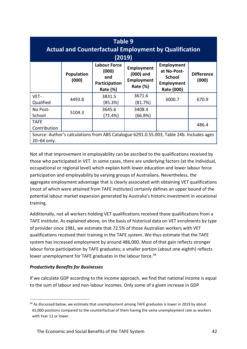| <b>Table 9</b><br><b>Actual and Counterfactual Employment by Qualification</b><br>(2019)                |                            |                                                                         |                                                            |                                                                               |                            |
|---------------------------------------------------------------------------------------------------------|----------------------------|-------------------------------------------------------------------------|------------------------------------------------------------|-------------------------------------------------------------------------------|----------------------------|
|                                                                                                         | <b>Population</b><br>(000) | <b>Labour Force</b><br>(000)<br>and<br>Participation<br><b>Rate (%)</b> | Employment<br>$(000)$ and<br>Employment<br><b>Rate (%)</b> | Employment<br>at No-Post-<br><b>School</b><br><b>Employment</b><br>Rate (000) | <b>Difference</b><br>(000) |
| VET-<br>Qualified                                                                                       | 4493.8                     | 3831.5<br>(85.3%)                                                       | 3671.6<br>(81.7%)                                          | 3000.7                                                                        | 670.9                      |
| No Post-<br>School                                                                                      | 5104.3                     | 3645.6<br>(71.4%)                                                       | 3408.4<br>(66.8%)                                          |                                                                               |                            |
| <b>TAFE</b><br>Contribution                                                                             |                            |                                                                         |                                                            |                                                                               | 486.4                      |
| Source: Author's calculations from ABS Catalogue 6291.0.55.003, Table 24b. Includes ages<br>20–64 only. |                            |                                                                         |                                                            |                                                                               |                            |

Not all that improvement in employability can be ascribed to the qualifications received by those who participated in VET. In some cases, there are underlying factors (at the individual, occupational or regional level) which explain both lower education and lower labour force participation and employability by varying groups of Australians. Nevertheless, the aggregate employment advantage that is clearly associated with obtaining VET qualifications (most of which were attained from TAFE institutes) certainly defines an upper bound of the potential labour market expansion generated by Australia's historic investment in vocational training.

Additionally, not all workers holding VET qualifications received those qualifications from a TAFE institute. As explained above, on the basis of historical data on VET enrolments by type of provider since 1981, we estimate that 72.5% of those Australian workers with VET qualifications received their training in the TAFE system. We thus estimate that the TAFE system has increased employment by around 486,000. Most of that gain reflects stronger labour force participation by TAFE graduates; a smaller portion (about one-eighth) reflects lower unemployment for TAFE graduates in the labour force.<sup>44</sup>

#### *Productivity Benefits for Businesses*

If we calculate GDP according to the income approach, we find that national income is equal to the sum of labour and non-labour incomes. Only some of a given increase in GDP

<sup>44</sup> As discussed below, we estimate that unemployment among TAFE graduates is lower in 2019 by about 65,000 positions compared to the counterfactual of them having the same unemployment rate as workers with Year 12 or lower.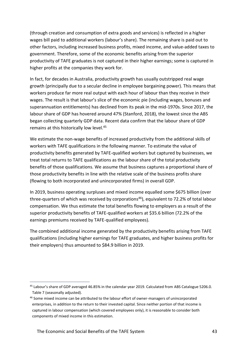(through creation and consumption of extra goods and services) is reflected in a higher wages bill paid to additional workers (labour's share). The remaining share is paid out to other factors, including increased business profits, mixed income, and value-added taxes to government. Therefore, some of the economic benefits arising from the superior productivity of TAFE graduates is not captured in their higher earnings; some is captured in higher profits at the companies they work for.

In fact, for decades in Australia, productivity growth has usually outstripped real wage growth (principally due to a secular decline in employee bargaining power). This means that workers produce far more real output with each hour of labour than they receive in their wages. The result is that labour's slice of the economic pie (including wages, bonuses and superannuation entitlements) has declined from its peak in the mid-1970s. Since 2017, the labour share of GDP has hovered around 47% (Stanford, 2018), the lowest since the ABS began collecting quarterly GDP data. Recent data confirm that the labour share of GDP remains at this historically low level.<sup>45</sup>

We estimate the non-wage benefits of increased productivity from the additional skills of workers with TAFE qualifications in the following manner. To estimate the value of productivity benefits generated by TAFE-qualified workers but captured by businesses, we treat total returns to TAFE qualifications as the labour share of the total productivity benefits of those qualifications. We assume that business captures a proportional share of those productivity benefits in line with the relative scale of the business profits share (flowing to both incorporated and unincorporated firms) in overall GDP.

In 2019, business operating surpluses and mixed income equalled some \$675 billion (over three-quarters of which was received by corporations<sup>46</sup>), equivalent to 72.2% of total labour compensation. We thus estimate the total benefits flowing to employers as a result of the superior productivity benefits of TAFE-qualified workers at \$35.6 billion (72.2% of the earnings premiums received by TAFE-qualified employees).

The combined additional income generated by the productivity benefits arising from TAFE qualifications (including higher earnings for TAFE graduates, and higher business profits for their employers) thus amounted to \$84.9 billion in 2019.

<sup>45</sup> Labour's share of GDP averaged 46.85% in the calendar year 2019. Calculated from ABS Catalogue 5206.0. Table 7 (seasonally adjusted).

<sup>46</sup> Some mixed income can be attributed to the labour effort of owner-managers of unincorporated enterprises, in addition to the return to their invested capital. Since neither portion of that income is captured in labour compensation (which covered employees only), it is reasonable to consider both components of mixed income in this estimation.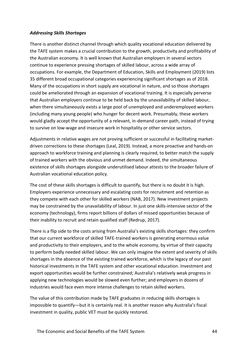#### *Addressing Skills Shortages*

There is another distinct channel through which quality vocational education delivered by the TAFE system makes a crucial contribution to the growth, productivity and profitability of the Australian economy. It is well known that Australian employers in several sectors continue to experience pressing shortages of skilled labour, across a wide array of occupations. For example, the Department of Education, Skills and Employment (2019) lists 35 different broad occupational categories experiencing significant shortages as of 2018. Many of the occupations in short supply are vocational in nature, and so those shortages could be ameliorated through an expansion of vocational training. It is especially perverse that Australian employers continue to be held back by the unavailability of skilled labour, when there simultaneously exists a large pool of unemployed and underemployed workers (including many young people) who hunger for decent work. Presumably, these workers would gladly accept the opportunity of a relevant, in-demand career path, instead of trying to survive on low-wage and insecure work in hospitality or other service sectors.

Adjustments in relative wages are not proving sufficient or successful in facilitating marketdriven corrections to these shortages (Leal, 2019). Instead, a more proactive and hands-on approach to workforce training and planning is clearly required, to better match the supply of trained workers with the obvious and unmet demand. Indeed, the simultaneous existence of skills shortages alongside underutilised labour attests to the broader failure of Australian vocational education policy.

The cost of these skills shortages is difficult to quantify, but there is no doubt it is high. Employers experience unnecessary and escalating costs for recruitment and retention as they compete with each other for skilled workers (NAB, 2017). New investment projects may be constrained by the unavailability of labour. In just one skills-intensive sector of the economy (technology), firms report billions of dollars of missed opportunities because of their inability to recruit and retain qualified staff (Redrup, 2017).

There is a flip side to the costs arising from Australia's existing skills shortages: they confirm that our current workforce of skilled TAFE-trained workers is generating enormous value and productivity to their employers, and to the whole economy, by virtue of their capacity to perform badly needed skilled labour. We can only imagine the extent and severity of skills shortages in the absence of the existing trained workforce, which is the legacy of our past historical investments in the TAFE system and other vocational education. Investment and export opportunities would be further constrained; Australia's relatively weak progress in applying new technologies would be slowed even further; and employers in dozens of industries would face even more intense challenges to retain skilled workers.

The value of this contribution made by TAFE graduates in reducing skills shortages is impossible to quantify—but it is certainly real. It is another reason why Australia's fiscal investment in quality, public VET must be quickly restored.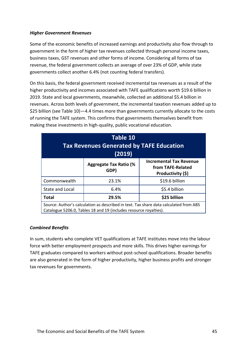#### *Higher Government Revenues*

Some of the economic benefits of increased earnings and productivity also flow through to government in the form of higher tax revenues collected through personal income taxes, business taxes, GST revenues and other forms of income. Considering all forms of tax revenue, the federal government collects an average of over 23% of GDP, while state governments collect another 6.4% (not counting federal transfers).

On this basis, the federal government received incremental tax revenues as a result of the higher productivity and incomes associated with TAFE qualifications worth \$19.6 billion in 2019. State and local governments, meanwhile, collected an additional \$5.4 billion in revenues. Across both levels of government, the incremental taxation revenues added up to \$25 billion (see Table 10)—4.4 times more than governments currently allocate to the costs of running the TAFE system. This confirms that governments themselves benefit from making these investments in high-quality, public vocational education.

| Table 10<br><b>Tax Revenues Generated by TAFE Education</b><br>(2019)                                                                                      |                                       |                                                                          |  |
|------------------------------------------------------------------------------------------------------------------------------------------------------------|---------------------------------------|--------------------------------------------------------------------------|--|
|                                                                                                                                                            | <b>Aggregate Tax Ratio (%</b><br>GDP) | <b>Incremental Tax Revenue</b><br>from TAFE-Related<br>Productivity (\$) |  |
| Commonwealth                                                                                                                                               | 23.1%                                 | \$19.6 billion                                                           |  |
| State and Local                                                                                                                                            | 6.4%                                  | \$5.4 billion                                                            |  |
| \$25 billion<br><b>Total</b><br>29.5%                                                                                                                      |                                       |                                                                          |  |
| Source: Author's calculation as described in text. Tax share data calculated from ABS<br>Catalogue 5206.0, Tables 18 and 19 (includes resource royalties). |                                       |                                                                          |  |

#### *Combined Benefits*

In sum, students who complete VET qualifications at TAFE institutes move into the labour force with better employment prospects and more skills. This drives higher earnings for TAFE graduates compared to workers without post-school qualifications. Broader benefits are also generated in the form of higher productivity, higher business profits and stronger tax revenues for governments.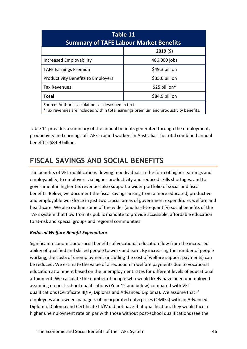| Table 11<br><b>Summary of TAFE Labour Market Benefits</b>                                                                                  |                |  |  |
|--------------------------------------------------------------------------------------------------------------------------------------------|----------------|--|--|
| 2019(5)                                                                                                                                    |                |  |  |
| Increased Employability                                                                                                                    | 486,000 jobs   |  |  |
| <b>TAFE Earnings Premium</b>                                                                                                               | \$49.3 billion |  |  |
| <b>Productivity Benefits to Employers</b>                                                                                                  | \$35.6 billion |  |  |
| <b>Tax Revenues</b>                                                                                                                        | \$25 billion*  |  |  |
| \$84.9 billion<br><b>Total</b>                                                                                                             |                |  |  |
| Source: Author's calculations as described in text.<br>*Tax revenues are included within total earnings premium and productivity benefits. |                |  |  |

Table 11 provides a summary of the annual benefits generated through the employment, productivity and earnings of TAFE-trained workers in Australia. The total combined annual benefit is \$84.9 billion.

### <span id="page-45-0"></span>**FISCAL SAVINGS AND SOCIAL BENEFITS**

The benefits of VET qualifications flowing to individuals in the form of higher earnings and employability, to employers via higher productivity and reduced skills shortages, and to government in higher tax revenues also support a wider portfolio of social and fiscal benefits. Below, we document the fiscal savings arising from a more educated, productive and employable workforce in just two crucial areas of government expenditure: welfare and healthcare. We also outline some of the wider (and hard-to-quantify) social benefits of the TAFE system that flow from its public mandate to provide accessible, affordable education to at-risk and special groups and regional communities.

#### *Reduced Welfare Benefit Expenditure*

Significant economic and social benefits of vocational education flow from the increased ability of qualified and skilled people to work and earn. By increasing the number of people working, the costs of unemployment (including the cost of welfare support payments) can be reduced. We estimate the value of a reduction in welfare payments due to vocational education attainment based on the unemployment rates for different levels of educational attainment. We calculate the number of people who would likely have been unemployed assuming no post-school qualifications (Year 12 and below) compared with VET qualifications (Certificate III/IV, Diploma and Advanced Diploma). We assume that if employees and owner-managers of incorporated enterprises (OMIEs) with an Advanced Diploma, Diploma and Certificate III/IV did not have that qualification, they would face a higher unemployment rate on par with those without post-school qualifications (see the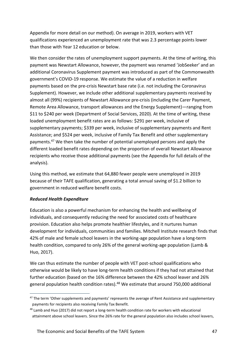Appendix for more detail on our method). On average in 2019, workers with VET qualifications experienced an unemployment rate that was 2.3 percentage points lower than those with Year 12 education or below.

We then consider the rates of unemployment support payments. At the time of writing, this payment was Newstart Allowance, however, the payment was renamed 'JobSeeker' and an additional Coronavirus Supplement payment was introduced as part of the Commonwealth government's COVID-19 response. We estimate the value of a reduction in welfare payments based on the pre-crisis Newstart base rate (i.e. not including the Coronavirus Supplement). However, we include other additional supplementary payments received by almost all (99%) recipients of Newstart Allowance pre-crisis (including the Carer Payment, Remote Area Allowance, transport allowances and the Energy Supplement)—ranging from \$11 to \$240 per week (Department of Social Services, 2020). At the time of writing, these loaded unemployment benefit rates are as follows: \$291 per week, inclusive of supplementary payments; \$339 per week, inclusive of supplementary payments and Rent Assistance; and \$524 per week, inclusive of Family Tax Benefit and other supplementary payments.<sup>47</sup> We then take the number of potential unemployed persons and apply the different loaded benefit rates depending on the proportion of overall Newstart Allowance recipients who receive those additional payments (see the Appendix for full details of the analysis).

Using this method, we estimate that 64,880 fewer people were unemployed in 2019 because of their TAFE qualification, generating a total annual saving of \$1.2 billion to government in reduced welfare benefit costs.

#### *Reduced Health Expenditure*

Education is also a powerful mechanism for enhancing the health and wellbeing of individuals, and consequently reducing the need for associated costs of healthcare provision. Education also helps promote healthier lifestyles, and it nurtures human development for individuals, communities and families. Mitchell Institute research finds that 42% of male and female school leavers in the working-age population have a long-term health condition, compared to only 26% of the general working-age population (Lamb & Huo, 2017).

We can thus estimate the number of people with VET post-school qualifications who otherwise would be likely to have long-term health conditions if they had not attained that further education (based on the 16% difference between the 42% school leaver and 26% general population health condition rates).<sup>48</sup> We estimate that around 750,000 additional

<sup>&</sup>lt;sup>47</sup> The term 'Other supplements and payments' represents the average of Rent Assistance and supplementary payments for recipients also receiving Family Tax Benefit.

<sup>48</sup> Lamb and Huo (2017) did not report a long-term health condition rate for workers with educational attainment above school leavers. Since the 26% rate for the general population also includes school leavers,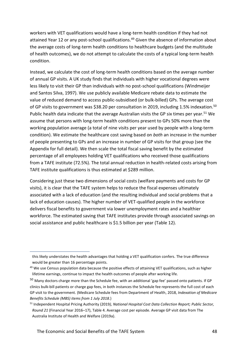workers with VET qualifications would have a long-term health condition if they had not attained Year 12 or any post-school qualifications.<sup>49</sup> Given the absence of information about the average costs of long-term health conditions to healthcare budgets (and the multitude of health outcomes), we do not attempt to calculate the costs of a typical long-term health condition.

Instead, we calculate the cost of long-term health conditions based on the average number of annual GP visits. A UK study finds that individuals with higher vocational degrees were less likely to visit their GP than individuals with no post-school qualifications (Windmeijer and Santos Silva, 1997). We use publicly available Medicare rebate data to estimate the value of reduced demand to access public-subsidised (or bulk-billed) GPs. The average cost of GP visits to government was \$38.20 per consultation in 2019, including 1.5% indexation.<sup>50</sup> Public health data indicate that the average Australian visits the GP six times per year.<sup>51</sup> We assume that persons with long-term health conditions present to GPs 50% more than the working population average (a total of nine visits per year used by people with a long-term condition). We estimate the healthcare cost saving based on *both* an increase in the number of people presenting to GPs and an increase in number of GP visits for that group (see the Appendix for full detail). We then scale the total fiscal saving benefit by the estimated percentage of all employees holding VET qualifications who received those qualifications from a TAFE institute (72.5%). The total annual reduction in health-related costs arising from TAFE institute qualifications is thus estimated at \$289 million.

Considering just these two dimensions of social costs (welfare payments and costs for GP visits), it is clear that the TAFE system helps to reduce the fiscal expenses ultimately associated with a lack of education (and the resulting individual and social problems that a lack of education causes). The higher number of VET-qualified people in the workforce delivers fiscal benefits to government via lower unemployment rates and a healthier workforce. The estimated saving that TAFE institutes provide through associated savings on social assistance and public healthcare is \$1.5 billion per year (Table 12).

this likely understates the health advantages that holding a VET qualification confers. The true difference would be greater than 16 percentage points.

<sup>&</sup>lt;sup>49</sup> We use Census population data because the positive effects of attaining VET qualifications, such as higher lifetime earnings, continue to impact the health outcomes of people after working life.

<sup>50</sup> Many doctors charge more than the Schedule fee, with an additional 'gap fee' passed onto patients. If GP clinics bulk-bill patients or charge gap fees, in both instances the Schedule fee represents the full cost of each GP visit to the government. (Medicare Schedule fees from Department of Health, 2018, *Indexation of Medicare Benefits Schedule (MBS) items from 1 July 2018.*)

<sup>51</sup> Independent Hospital Pricing Authority (2019*), National Hospital Cost Data Collection Report; Public Sector, Round 21* (Financial Year 2016–17), Table 4. Average cost per episode. Average GP visit data from The Australia Institute of Health and Welfare (2019a).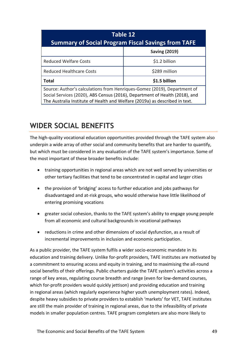| Table 12<br><b>Summary of Social Program Fiscal Savings from TAFE</b>                                                                                                                                                                  |               |  |  |  |  |
|----------------------------------------------------------------------------------------------------------------------------------------------------------------------------------------------------------------------------------------|---------------|--|--|--|--|
| <b>Saving (2019)</b>                                                                                                                                                                                                                   |               |  |  |  |  |
| <b>Reduced Welfare Costs</b>                                                                                                                                                                                                           | \$1.2 billion |  |  |  |  |
| <b>Reduced Healthcare Costs</b>                                                                                                                                                                                                        | \$289 million |  |  |  |  |
| <b>Total</b>                                                                                                                                                                                                                           | \$1.5 billion |  |  |  |  |
| Source: Author's calculations from Henriques-Gomez (2019), Department of<br>Social Services (2020), ABS Census (2016), Department of Health (2018), and<br>The Australia Institute of Health and Welfare (2019a) as described in text. |               |  |  |  |  |

### <span id="page-48-0"></span>**WIDER SOCIAL BENEFITS**

The high-quality vocational education opportunities provided through the TAFE system also underpin a wide array of other social and community benefits that are harder to quantify, but which must be considered in any evaluation of the TAFE system's importance. Some of the most important of these broader benefits include:

- training opportunities in regional areas which are not well served by universities or other tertiary facilities that tend to be concentrated in capital and larger cities
- the provision of 'bridging' access to further education and jobs pathways for disadvantaged and at-risk groups, who would otherwise have little likelihood of entering promising vocations
- greater social cohesion, thanks to the TAFE system's ability to engage young people from all economic and cultural backgrounds in vocational pathways
- reductions in crime and other dimensions of social dysfunction, as a result of incremental improvements in inclusion and economic participation.

As a public provider, the TAFE system fulfils a wider socio-economic mandate in its education and training delivery. Unlike for-profit providers, TAFE institutes are motivated by a commitment to ensuring access and equity in training, and to maximising the all-round social benefits of their offerings. Public charters guide the TAFE system's activities across a range of key areas, regulating course breadth and range (even for low-demand courses, which for-profit providers would quickly jettison) and providing education and training in regional areas (which regularly experience higher youth unemployment rates). Indeed, despite heavy subsidies to private providers to establish 'markets' for VET, TAFE institutes are still the main provider of training in regional areas, due to the infeasibility of private models in smaller population centres. TAFE program completers are also more likely to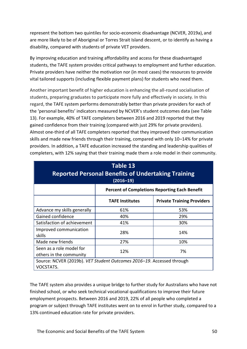represent the bottom two quintiles for socio-economic disadvantage (NCVER, 2019a), and are more likely to be of Aboriginal or Torres Strait Island descent, or to identify as having a disability, compared with students of private VET providers.

By improving education and training affordability and access for these disadvantaged students, the TAFE system provides critical pathways to employment and further education. Private providers have neither the motivation nor (in most cases) the resources to provide vital tailored supports (including flexible payment plans) for students who need them.

Another important benefit of higher education is enhancing the all-round socialisation of students, preparing graduates to participate more fully and effectively in society. In this regard, the TAFE system performs demonstrably better than private providers for each of the 'personal benefits' indicators measured by NCVER's student outcomes data (see Table 13). For example, 40% of TAFE completers between 2016 and 2019 reported that they gained confidence from their training (compared with just 29% for private providers). Almost one-third of all TAFE completers reported that they improved their communication skills and made new friends through their training, compared with only 10–14% for private providers. In addition, a TAFE education increased the standing and leadership qualities of completers, with 12% saying that their training made them a role model in their community.

| Table 13<br><b>Reported Personal Benefits of Undertaking Training</b><br>$(2016 - 19)$ |                                                      |                                   |  |  |  |  |
|----------------------------------------------------------------------------------------|------------------------------------------------------|-----------------------------------|--|--|--|--|
|                                                                                        | <b>Percent of Completions Reporting Each Benefit</b> |                                   |  |  |  |  |
|                                                                                        | <b>TAFE Institutes</b>                               | <b>Private Training Providers</b> |  |  |  |  |
| Advance my skills generally                                                            | 61%                                                  | 53%                               |  |  |  |  |
| Gained confidence                                                                      | 40%                                                  | 29%                               |  |  |  |  |
| Satisfaction of achievement                                                            | 41%                                                  | 30%                               |  |  |  |  |
| Improved communication<br>skills                                                       | 28%                                                  | 14%                               |  |  |  |  |
| Made new friends                                                                       | 27%                                                  | 10%                               |  |  |  |  |
| Seen as a role model for<br>others in the community                                    | 12%                                                  | 7%                                |  |  |  |  |
| Source: NCVER (2019b). VET Student Outcomes 2016-19. Accessed through<br>VOCSTATS.     |                                                      |                                   |  |  |  |  |

The TAFE system also provides a unique bridge to further study for Australians who have not finished school, or who seek technical vocational qualifications to improve their future employment prospects. Between 2016 and 2019, 22% of all people who completed a program or subject through TAFE institutes went on to enrol in further study, compared to a 13% continued education rate for private providers.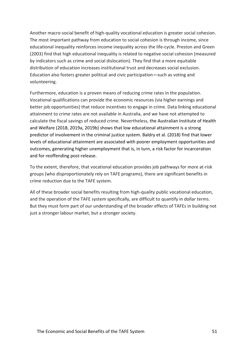Another macro-social benefit of high-quality vocational education is greater social cohesion. The most important pathway from education to social cohesion is through income, since educational inequality reinforces income inequality across the life-cycle. Preston and Green (2003) find that high educational inequality is related to negative social cohesion (measured by indicators such as crime and social dislocation). They find that a more equitable distribution of education increases institutional trust and decreases social exclusion. Education also fosters greater political and civic participation—such as voting and volunteering.

Furthermore, education is a proven means of reducing crime rates in the population. Vocational qualifications can provide the economic resources (via higher earnings and better job opportunities) that reduce incentives to engage in crime. Data linking educational attainment to crime rates are not available in Australia, and we have not attempted to calculate the fiscal savings of reduced crime. Nevertheless, the Australian Institute of Health and Welfare (2018, 2019a, 2019b) shows that low educational attainment is a strong predictor of involvement in the criminal justice system. Baldry et al. (2018) find that lower levels of educational attainment are associated with poorer employment opportunities and outcomes, generating higher unemployment that is, in turn, a risk factor for incarceration and for reoffending post-release.

To the extent, therefore, that vocational education provides job pathways for more at-risk groups (who disproportionately rely on TAFE programs), there are significant benefits in crime reduction due to the TAFE system.

All of these broader social benefits resulting from high-quality public vocational education, and the operation of the TAFE system specifically, are difficult to quantify in dollar terms. But they must form part of our understanding of the broader effects of TAFEs in building not just a stronger labour market, but a stronger society.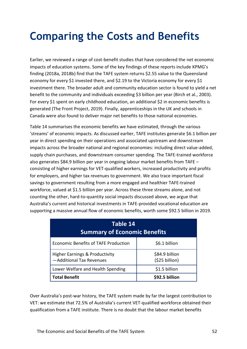## <span id="page-51-0"></span>**Comparing the Costs and Benefits**

Earlier, we reviewed a range of cost-benefit studies that have considered the net economic impacts of education systems. Some of the key findings of these reports include KPMG's finding (2018a, 2018b) find that the TAFE system returns \$2.55 value to the Queensland economy for every \$1 invested there, and \$2.19 to the Victoria economy for every \$1 investment there. The broader adult and community education sector is found to yield a net benefit to the community and individuals exceeding \$3 billion per year (Birch et al., 2003). For every \$1 spent on early childhood education, an additional \$2 in economic benefits is generated (The Front Project, 2019). Finally, apprenticeships in the UK and schools in Canada were also found to deliver major net benefits to those national economies.

Table 14 summarises the economic benefits we have estimated, through the various 'streams' of economic impacts. As discussed earlier, TAFE institutes generate \$6.1 billion per year in direct spending on their operations and associated upstream and downstream impacts across the broader national and regional economies: including direct value-added, supply chain purchases, and downstream consumer spending. The TAFE-trained workforce also generates \$84.9 billion per year in ongoing labour market benefits from TAFE – consisting of higher earnings for VET-qualified workers, increased productivity and profits for employers, and higher tax revenues to government. We also trace important fiscal savings to government resulting from a more engaged and healthier TAFE-trained workforce, valued at \$1.5 billion per year. Across these three streams alone, and not counting the other, hard-to-quantity social impacts discussed above, we argue that Australia's current and historical investments in TAFE-provided vocational education are supporting a massive annual flow of economic benefits, worth some \$92.5 billion in 2019.

| Table 14<br><b>Summary of Economic Benefits</b>                       |                                  |  |  |  |  |
|-----------------------------------------------------------------------|----------------------------------|--|--|--|--|
| <b>Economic Benefits of TAFE Production</b>                           | \$6.1 billion                    |  |  |  |  |
| <b>Higher Earnings &amp; Productivity</b><br>-Additional Tax Revenues | \$84.9 billion<br>(\$25 billion) |  |  |  |  |
| Lower Welfare and Health Spending                                     | \$1.5 billion                    |  |  |  |  |
| <b>Total Benefit</b>                                                  | \$92.5 billion                   |  |  |  |  |

Over Australia's post-war history, the TAFE system made by far the largest contribution to VET: we estimate that 72.5% of Australia's current VET-qualified workforce obtained their qualification from a TAFE institute. There is no doubt that the labour market benefits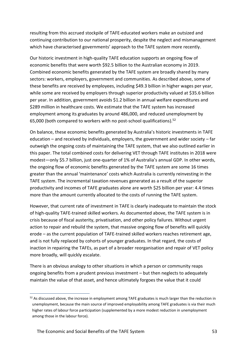resulting from this accrued stockpile of TAFE-educated workers make an outsized and continuing contribution to our national prosperity, despite the neglect and mismanagement which have characterised governments' approach to the TAFE system more recently.

Our historic investment in high-quality TAFE education supports an ongoing flow of economic benefits that were worth \$92.5 billion to the Australian economy in 2019. Combined economic benefits generated by the TAFE system are broadly shared by many sectors: workers, employers, government and communities. As described above, some of these benefits are received by employees, including \$49.3 billion in higher wages per year, while some are received by employers through superior productivity valued at \$35.6 billion per year. In addition, government avoids \$1.2 billion in annual welfare expenditures and \$289 million in healthcare costs. We estimate that the TAFE system has increased employment among its graduates by around 486,000, and reduced unemployment by 65,000 (both compared to workers with no post-school qualifications). 52

On balance, these economic benefits generated by Australia's historic investments in TAFE education – and received by individuals, employers, the government and wider society – far outweigh the ongoing costs of maintaining the TAFE system, that we also outlined earlier in this paper. The total combined costs for delivering VET through TAFE institutes in 2018 were modest—only \$5.7 billion, just one-quarter of 1% of Australia's annual GDP. In other words, the ongoing flow of economic benefits generated by the TAFE system are some 16 times greater than the annual 'maintenance' costs which Australia is currently reinvesting in the TAFE system. The incremental taxation revenues generated as a result of the superior productivity and incomes of TAFE graduates alone are worth \$25 billion per year: 4.4 times more than the amount currently allocated to the costs of running the TAFE system.

However, that current rate of investment in TAFE is clearly inadequate to maintain the stock of high-quality TAFE-trained skilled workers. As documented above, the TAFE system is in crisis because of fiscal austerity, privatisation, and other policy failures. Without urgent action to repair and rebuild the system, that massive ongoing flow of benefits will quickly erode – as the current population of TAFE-trained skilled workers reaches retirement age, and is not fully replaced by cohorts of younger graduates. In that regard, the costs of inaction in repairing the TAFEs, as part of a broader reorganisation and repair of VET policy more broadly, will quickly escalate.

There is an obvious analogy to other situations in which a person or community reaps ongoing benefits from a prudent previous investment – but then neglects to adequately maintain the value of that asset, and hence ultimately forgoes the value that it could

 $52$  As discussed above, the increase in employment among TAFE graduates is much larger than the reduction in unemployment, because the main source of improved employability among TAFE graduates is via their much higher rates of labour force participation (supplemented by a more modest reduction in unemployment among those in the labour force).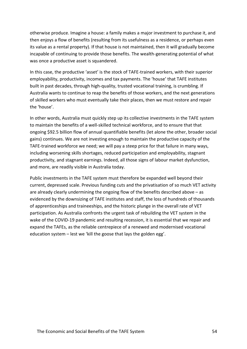otherwise produce. Imagine a house: a family makes a major investment to purchase it, and then enjoys a flow of benefits (resulting from its usefulness as a residence, or perhaps even its value as a rental property). If that house is not maintained, then it will gradually become incapable of continuing to provide those benefits. The wealth-generating potential of what was once a productive asset is squandered.

In this case, the productive 'asset' is the stock of TAFE-trained workers, with their superior employability, productivity, incomes and tax payments. The 'house' that TAFE institutes built in past decades, through high-quality, trusted vocational training, is crumbling. If Australia wants to continue to reap the benefits of those workers, and the next generations of skilled workers who must eventually take their places, then we must restore and repair the 'house'.

In other words, Australia must quickly step up its collective investments in the TAFE system to maintain the benefits of a well-skilled technical workforce, and to ensure that that ongoing \$92.5 billion flow of annual quantifiable benefits (let alone the other, broader social gains) continues. We are not investing enough to maintain the productive capacity of the TAFE-trained workforce we need; we will pay a steep price for that failure in many ways, including worsening skills shortages, reduced participation and employability, stagnant productivity, and stagnant earnings. Indeed, all those signs of labour market dysfunction, and more, are readily visible in Australia today.

Public investments in the TAFE system must therefore be expanded well beyond their current, depressed scale. Previous funding cuts and the privatisation of so much VET activity are already clearly undermining the ongoing flow of the benefits described above – as evidenced by the downsizing of TAFE institutes and staff, the loss of hundreds of thousands of apprenticeships and traineeships, and the historic plunge in the overall rate of VET participation. As Australia confronts the urgent task of rebuilding the VET system in the wake of the COVID-19 pandemic and resulting recession, it is essential that we repair and expand the TAFEs, as the reliable centrepiece of a renewed and modernised vocational education system – lest we 'kill the goose that lays the golden egg'.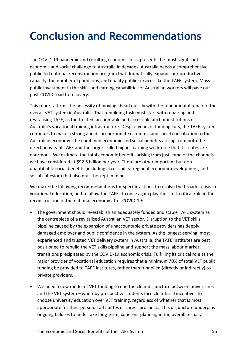## <span id="page-54-0"></span>**Conclusion and Recommendations**

The COVID-19 pandemic and resulting economic crisis presents the most significant economic and social challenge to Australia in decades. Australia needs a comprehensive, public-led national reconstruction program that dramatically expands our productive capacity, the number of good jobs, and quality public services like the TAFE system. Mass public investment in the skills and earning capabilities of Australian workers will pave our post-COVID road to recovery.

This report affirms the necessity of moving ahead quickly with the fundamental repair of the overall VET system in Australia. That rebuilding task must start with repairing and revitalising TAFE, as the trusted, accountable and accessible anchor institutions of Australia's vocational training infrastructure. Despite years of funding cuts, the TAFE system continues to make a strong and disproportionate economic and social contribution to the Australian economy. The combined economic and social benefits arising from both the direct activity of TAFE and the larger skilled higher-earning workforce that it creates are enormous. We estimate the total economic benefits arising from just some of the channels we have considered at \$92.5 billion per year. There are other important but nonquantifiable social benefits (including accessibility, regional economic development, and social cohesion) that also must be kept in mind.

We make the following recommendations for specific actions to resolve the broader crisis in vocational education, and to allow the TAFEs to once again play their full, critical role in the reconstruction of the national economy after COVID-19:

- The government should re-establish an adequately funded and stable TAFE system as the centrepiece of a revitalised Australian VET sector. Disruption to the VET skills pipeline caused by the expansion of unaccountable private providers has deeply damaged employer and public confidence in the system. As the longest-serving, most experienced and trusted VET delivery system in Australia, the TAFE institutes are best positioned to rebuild the VET skills pipeline and support the mass labour market transitions precipitated by the COVID-19 economic crisis. Fulfilling its critical role as the major provider of vocational education requires that a minimum 70% of total VET public funding be provided to TAFE institutes, rather than funnelled (directly or indirectly) to private providers.
- We need a new model of VET funding to end the clear disjuncture between universities and the VET system – whereby prospective students face clear fiscal incentives to choose university education over VET training, regardless of whether that is most appropriate for their personal attributes or career prospects. This disjuncture underpins ongoing failures to undertake long-term, coherent planning in the overall tertiary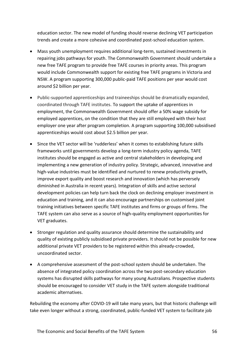education sector. The new model of funding should reverse declining VET participation trends and create a more cohesive and coordinated post-school education system.

- Mass youth unemployment requires additional long-term, sustained investments in repairing jobs pathways for youth. The Commonwealth Government should undertake a new free TAFE program to provide free TAFE courses in priority areas. This program would include Commonwealth support for existing free TAFE programs in Victoria and NSW. A program supporting 300,000 public-paid TAFE positions per year would cost around \$2 billion per year.
- Public-supported apprenticeships and traineeships should be dramatically expanded, coordinated through TAFE institutes. To support the uptake of apprentices in employment, the Commonwealth Government should offer a 50% wage subsidy for employed apprentices, on the condition that they are still employed with their host employer one year after program completion. A program supporting 100,000 subsidised apprenticeships would cost about \$2.5 billion per year.
- Since the VET sector will be 'rudderless' when it comes to establishing future skills frameworks until governments develop a long-term industry policy agenda, TAFE institutes should be engaged as active and central stakeholders in developing and implementing a new generation of industry policy. Strategic, advanced, innovative and high-value industries must be identified and nurtured to renew productivity growth, improve export quality and boost research and innovation (which has perversely diminished in Australia in recent years). Integration of skills and active sectoral development policies can help turn back the clock on declining employer investment in education and training, and it can also encourage partnerships on customised joint training initiatives between specific TAFE institutes and firms or groups of firms. The TAFE system can also serve as a source of high-quality employment opportunities for VET graduates.
- Stronger regulation and quality assurance should determine the sustainability and quality of existing publicly subsidised private providers. It should not be possible for new additional private VET providers to be registered within this already-crowded, uncoordinated sector.
- A comprehensive assessment of the post-school system should be undertaken. The absence of integrated policy coordination across the two post-secondary education systems has disrupted skills pathways for many young Australians. Prospective students should be encouraged to consider VET study in the TAFE system alongside traditional academic alternatives.

Rebuilding the economy after COVID-19 will take many years, but that historic challenge will take even longer without a strong, coordinated, public-funded VET system to facilitate job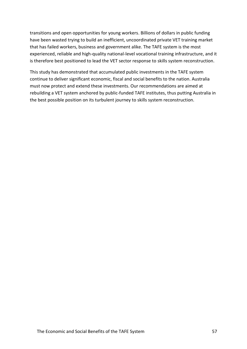transitions and open opportunities for young workers. Billions of dollars in public funding have been wasted trying to build an inefficient, uncoordinated private VET training market that has failed workers, business and government alike. The TAFE system is the most experienced, reliable and high-quality national-level vocational training infrastructure, and it is therefore best positioned to lead the VET sector response to skills system reconstruction.

This study has demonstrated that accumulated public investments in the TAFE system continue to deliver significant economic, fiscal and social benefits to the nation. Australia must now protect and extend these investments. Our recommendations are aimed at rebuilding a VET system anchored by public-funded TAFE institutes, thus putting Australia in the best possible position on its turbulent journey to skills system reconstruction.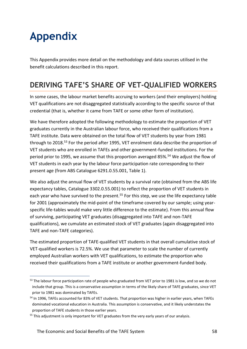## <span id="page-57-0"></span>**Appendix**

This Appendix provides more detail on the methodology and data sources utilised in the benefit calculations described in this report.

## <span id="page-57-1"></span>**DERIVING TAFE'S SHARE OF VET-QUALIFIED WORKERS**

In some cases, the labour market benefits accruing to workers (and their employers) holding VET qualifications are not disaggregated statistically according to the specific source of that credential (that is, whether it came from TAFE or some other form of institution).

We have therefore adopted the following methodology to estimate the proportion of VET graduates currently in the Australian labour force, who received their qualifications from a TAFE institute. Data were obtained on the total flow of VET students by year from 1981 through to 2018.<sup>53</sup> For the period after 1995, VET enrolment data describe the proportion of VET students who are enrolled in TAFEs and other government-funded institutions. For the period prior to 1995, we assume that this proportion averaged 85%.<sup>54</sup> We adjust the flow of VET students in each year by the labour force participation rate corresponding to their present age (from ABS Catalogue 6291.0.55.001, Table 1).

We also adjust the annual flow of VET students by a survival rate (obtained from the ABS life expectancy tables, Catalogue 3302.0.55.001) to reflect the proportion of VET students in each year who have survived to the present.<sup>55</sup> For this step, we use the life expectancy table for 2001 (approximately the mid-point of the timeframe covered by our sample; using yearspecific life-tables would make very little difference to the estimate). From this annual flow of surviving, participating VET graduates (disaggregated into TAFE and non-TAFE qualifications), we cumulate an estimated stock of VET graduates (again disaggregated into TAFE and non-TAFE categories).

The estimated proportion of TAFE-qualified VET students in that overall cumulative stock of VET-qualified workers is 72.5%. We use that parameter to scale the number of currently employed Australian workers with VET qualifications, to estimate the proportion who received their qualifications from a TAFE institute or another government-funded body.

<sup>53</sup> The labour force participation rate of people who graduated from VET prior to 1981 is low, and so we do not include that group. This is a conservative assumption in terms of the likely share of TAFE graduates, since VET prior to 1981 was dominated by TAFEs.

<sup>54</sup> In 1996, TAFEs accounted for 83% of VET students. That proportion was higher in earlier years, when TAFEs dominated vocational education in Australia. This assumption is conservative, and it likely understates the proportion of TAFE students in those earlier years.

<sup>&</sup>lt;sup>55</sup> This adjustment is only important for VET graduates from the very early years of our analysis.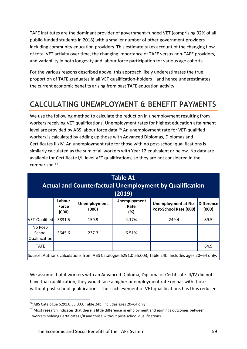TAFE institutes are the dominant provider of government-funded VET (comprising 92% of all public-funded students in 2018) with a smaller number of other government providers including community education providers. This estimate takes account of the changing flow of total VET activity over time, the changing importance of TAFE versus non-TAFE providers, and variability in both longevity and labour force participation for various age cohorts.

For the various reasons described above, this approach likely underestimates the true proportion of TAFE graduates in all VET qualification-holders—and hence underestimates the current economic benefits arising from past TAFE education activity.

## <span id="page-58-0"></span>**CALCULATING UNEMPLOYMENT & BENEFIT PAYMENTS**

We use the following method to calculate the reduction in unemployment resulting from workers receiving VET qualifications. Unemployment rates for highest education attainment level are provided by ABS labour force data.<sup>56</sup> An unemployment rate for VET-qualified workers is calculated by adding up those with Advanced Diplomas, Diplomas and Certificates III/IV. An unemployment rate for those with no post-school qualifications is similarly calculated as the sum of all workers with Year 12 equivalent or below. No data are available for Certificate I/II level VET qualifications, so they are not considered in the comparison.<sup>57</sup>

| <b>Table A1</b><br><b>Actual and Counterfactual Unemployment by Qualification</b><br>(2019)          |                                 |                              |                                    |                                                      |                            |  |
|------------------------------------------------------------------------------------------------------|---------------------------------|------------------------------|------------------------------------|------------------------------------------------------|----------------------------|--|
|                                                                                                      | Labour<br><b>Force</b><br>(000) | <b>Unemployment</b><br>(000) | <b>Unemployment</b><br>Rate<br>(%) | <b>Unemployment at No-</b><br>Post-School Rate (000) | <b>Difference</b><br>(000) |  |
| VET-Qualified                                                                                        | 3831.5                          | 159.9                        | 4.17%                              | 249.4                                                | 89.5                       |  |
| No Post-<br>School<br>Qualification                                                                  | 3645.6                          | 237.3                        | 6.51%                              |                                                      |                            |  |
| <b>TAFE</b>                                                                                          |                                 |                              |                                    |                                                      | 64.9                       |  |
| Source: Author's calculations from ABS Catalogue 6291.0.55.003, Table 24b. Includes ages 20-64 only. |                                 |                              |                                    |                                                      |                            |  |

We assume that if workers with an Advanced Diploma, Diploma or Certificate III/IV did not have that qualification, they would face a higher unemployment rate on par with those without post-school qualifications. Their achievement of VET qualifications has thus reduced

<sup>56</sup> ABS Catalogue 6291.0.55.003*,* Table 24b. Includes ages 20–64 only.

<sup>&</sup>lt;sup>57</sup> Most research indicates that there is little difference in employment and earnings outcomes between workers holding Certificates I/II and those without post-school qualifications.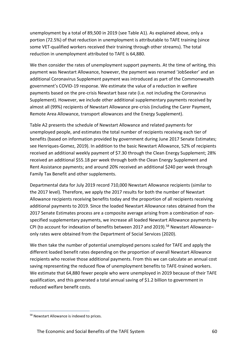unemployment by a total of 89,500 in 2019 (see Table A1). As explained above, only a portion (72.5%) of that reduction in unemployment is attributable to TAFE training (since some VET-qualified workers received their training through other streams). The total reduction in unemployment attributed to TAFE is 64,880.

We then consider the rates of unemployment support payments. At the time of writing, this payment was Newstart Allowance, however, the payment was renamed 'JobSeeker' and an additional Coronavirus Supplement payment was introduced as part of the Commonwealth government's COVID-19 response. We estimate the value of a reduction in welfare payments based on the pre-crisis Newstart base rate (i.e. not including the Coronavirus Supplement). However, we include other additional supplementary payments received by almost all (99%) recipients of Newstart Allowance pre-crisis (including the Carer Payment, Remote Area Allowance, transport allowances and the Energy Supplement).

Table A2 presents the schedule of Newstart Allowance and related payments for unemployed people, and estimates the total number of recipients receiving each tier of benefits (based on information provided by government during June 2017 Senate Estimates; see Henriques-Gomez, 2019). In addition to the basic Newstart Allowance, 52% of recipients received an additional weekly payment of \$7.30 through the Clean Energy Supplement; 28% received an additional \$55.18 per week through both the Clean Energy Supplement and Rent Assistance payments; and around 20% received an additional \$240 per week through Family Tax Benefit and other supplements.

Departmental data for July 2019 record 710,000 Newstart Allowance recipients (similar to the 2017 level). Therefore, we apply the 2017 results for both the number of Newstart Allowance recipients receiving benefits today and the proportion of all recipients receiving additional payments to 2019. Since the loaded Newstart Allowance rates obtained from the 2017 Senate Estimates process are a composite average arising from a combination of nonspecified supplementary payments, we increase all loaded Newstart Allowance payments by CPI (to account for indexation of benefits between 2017 and 2019).<sup>58</sup> Newstart Allowanceonly rates were obtained from the Department of Social Services (2020).

We then take the number of potential unemployed persons scaled for TAFE and apply the different loaded benefit rates depending on the proportion of overall Newstart Allowance recipients who receive those additional payments. From this we can calculate an annual cost saving representing the reduced flow of unemployment benefits to TAFE-trained workers. We estimate that 64,880 fewer people who were unemployed in 2019 because of their TAFE qualification, and this generated a total annual saving of \$1.2 billion to government in reduced welfare benefit costs.

<sup>58</sup> Newstart Allowance is indexed to prices.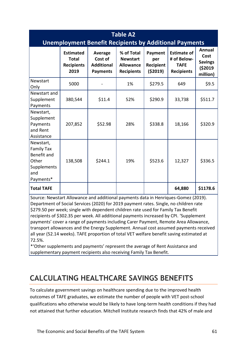| <b>Table A2</b><br><b>Unemployment Benefit Recipients by Additional Payments</b>          |                                                               |                                                                   |                                                                        |                                        |                                                                       |                                                          |  |
|-------------------------------------------------------------------------------------------|---------------------------------------------------------------|-------------------------------------------------------------------|------------------------------------------------------------------------|----------------------------------------|-----------------------------------------------------------------------|----------------------------------------------------------|--|
|                                                                                           | <b>Estimated</b><br><b>Total</b><br><b>Recipients</b><br>2019 | <b>Average</b><br>Cost of<br><b>Additional</b><br><b>Payments</b> | % of Total<br><b>Newstart</b><br><b>Allowance</b><br><b>Recipients</b> | Payment<br>per<br>Recipient<br>(52019) | <b>Estimate of</b><br># of Below-<br><b>TAFE</b><br><b>Recipients</b> | Annual<br>Cost<br><b>Savings</b><br>( \$2019<br>million) |  |
| Newstart<br>Only                                                                          | 5000                                                          |                                                                   | 1%                                                                     | \$279.5                                | 649                                                                   | \$9.5                                                    |  |
| Newstart and<br>Supplement<br>Payments                                                    | 380,544                                                       | \$11.4                                                            | 52%                                                                    | \$290.9                                | 33,738                                                                | \$511.7                                                  |  |
| Newstart,<br>Supplement<br>Payments<br>and Rent<br>Assistance                             | 207,852                                                       | \$52.98                                                           | 28%                                                                    | \$338.8                                | 18,166                                                                | \$320.9                                                  |  |
| Newstart,<br><b>Family Tax</b><br>Benefit and<br>Other<br>Supplements<br>and<br>Payments* | 138,508                                                       | \$244.1                                                           | 19%                                                                    | \$523.6                                | 12,327                                                                | \$336.5                                                  |  |
| <b>Total TAFE</b>                                                                         |                                                               |                                                                   |                                                                        |                                        | 64,880                                                                | \$1178.6                                                 |  |

Source: Newstart Allowance and additional payments data in Henriques-Gomez (2019). Department of Social Services (2020) for 2019 payment rates. Single, no children rate \$279.50 per week; single with dependent children rate used for Family Tax Benefit recipients of \$302.35 per week. All additional payments increased by CPI. 'Supplement payments' cover a range of payments including Carer Payment, Remote Area Allowance, transport allowances and the Energy Supplement. Annual cost assumed payments received all year (52.14 weeks). TAFE proportion of total VET welfare benefit saving estimated at 72.5%.

\*'Other supplements and payments' represent the average of Rent Assistance and supplementary payment recipients also receiving Family Tax Benefit.

## <span id="page-60-0"></span>**CALCULATING HEALTHCARE SAVINGS BENEFITS**

To calculate government savings on healthcare spending due to the improved health outcomes of TAFE graduates, we estimate the number of people with VET post-school qualifications who otherwise would be likely to have long-term health conditions if they had not attained that further education. Mitchell Institute research finds that 42% of male and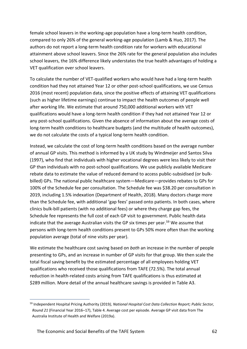female school leavers in the working-age population have a long-term health condition, compared to only 26% of the general working-age population (Lamb & Huo, 2017). The authors do not report a long-term health condition rate for workers with educational attainment above school leavers. Since the 26% rate for the general population also includes school leavers, the 16% difference likely understates the true health advantages of holding a VET qualification over school leavers.

To calculate the number of VET-qualified workers who would have had a long-term health condition had they not attained Year 12 or other post-school qualifications, we use Census 2016 (most recent) population data, since the positive effects of attaining VET qualifications (such as higher lifetime earnings) continue to impact the health outcomes of people well after working life. We estimate that around 750,000 additional workers with VET qualifications would have a long-term health condition if they had not attained Year 12 or any post-school qualifications. Given the absence of information about the average costs of long-term health conditions to healthcare budgets (and the multitude of health outcomes), we do not calculate the costs of a typical long-term health condition.

Instead, we calculate the cost of long-term health conditions based on the average number of annual GP visits. This method is informed by a UK study by Windmeijer and Santos Silva (1997), who find that individuals with higher vocational degrees were less likely to visit their GP than individuals with no post-school qualifications. We use publicly available Medicare rebate data to estimate the value of reduced demand to access public-subsidised (or bulkbilled) GPs. The national public healthcare system—Medicare—provides rebates to GPs for 100% of the Schedule fee per consultation. The Schedule fee was \$38.20 per consultation in 2019, including 1.5% indexation (Department of Health, 2018). Many doctors charge more than the Schedule fee, with additional 'gap fees' passed onto patients. In both cases, where clinics bulk-bill patients (with no additional fees) or where they charge gap fees, the Schedule fee represents the full cost of each GP visit to government. Public health data indicate that the average Australian visits the GP six times per year.<sup>59</sup> We assume that persons with long-term health conditions present to GPs 50% more often than the working population average (total of nine visits per year).

We estimate the healthcare cost saving based on *both* an increase in the number of people presenting to GPs, and an increase in number of GP visits for that group. We then scale the total fiscal saving benefit by the estimated percentage of all employees holding VET qualifications who received those qualifications from TAFE (72.5%). The total annual reduction in health-related costs arising from TAFE qualifications is thus estimated at \$289 million. More detail of the annual healthcare savings is provided in Table A3.

<sup>59</sup> Independent Hospital Pricing Authority (2019*), National Hospital Cost Data Collection Report; Public Sector, Round 21* (Financial Year 2016–17), Table 4. Average cost per episode. Average GP visit data from The Australia Institute of Health and Welfare (2019a).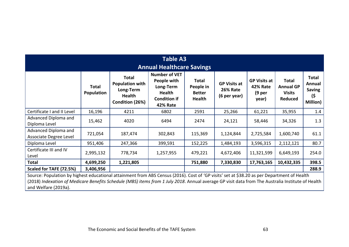| <b>Table A3</b><br><b>Annual Healthcare Savings</b>                                                                                                                                                                                                                                                                      |                     |                                                                                         |                                                                                                             |                                                             |                                                        |                                                                        |                                                                     |                                                            |
|--------------------------------------------------------------------------------------------------------------------------------------------------------------------------------------------------------------------------------------------------------------------------------------------------------------------------|---------------------|-----------------------------------------------------------------------------------------|-------------------------------------------------------------------------------------------------------------|-------------------------------------------------------------|--------------------------------------------------------|------------------------------------------------------------------------|---------------------------------------------------------------------|------------------------------------------------------------|
|                                                                                                                                                                                                                                                                                                                          | Total<br>Population | <b>Total</b><br><b>Population with</b><br>Long-Term<br><b>Health</b><br>Condition (26%) | <b>Number of VET</b><br>People with<br>Long-Term<br><b>Health</b><br><b>Condition if</b><br><b>42% Rate</b> | <b>Total</b><br>People in<br><b>Better</b><br><b>Health</b> | <b>GP Visits at</b><br><b>26% Rate</b><br>(6 per year) | <b>GP Visits at</b><br><b>42% Rate</b><br>(9 <sub>per</sub> )<br>year) | <b>Total</b><br><b>Annual GP</b><br><b>Visits</b><br><b>Reduced</b> | <b>Total</b><br>Annual<br><b>Saving</b><br>(\$<br>Million) |
| Certificate I and II Level                                                                                                                                                                                                                                                                                               | 16,196              | 4211                                                                                    | 6802                                                                                                        | 2591                                                        | 25,266                                                 | 61,221                                                                 | 35,955                                                              | 1.4                                                        |
| Advanced Diploma and<br>Diploma Level                                                                                                                                                                                                                                                                                    | 15,462              | 4020                                                                                    | 6494                                                                                                        | 2474                                                        | 24,121                                                 | 58,446                                                                 | 34,326                                                              | 1.3                                                        |
| Advanced Diploma and<br>Associate Degree Level                                                                                                                                                                                                                                                                           | 721,054             | 187,474                                                                                 | 302,843                                                                                                     | 115,369                                                     | 1,124,844                                              | 2,725,584                                                              | 1,600,740                                                           | 61.1                                                       |
| Diploma Level                                                                                                                                                                                                                                                                                                            | 951,406             | 247,366                                                                                 | 399,591                                                                                                     | 152,225                                                     | 1,484,193                                              | 3,596,315                                                              | 2,112,121                                                           | 80.7                                                       |
| Certificate III and IV<br>Level                                                                                                                                                                                                                                                                                          | 2,995,132           | 778,734                                                                                 | 1,257,955                                                                                                   | 479,221                                                     | 4,672,406                                              | 11,321,599                                                             | 6,649,193                                                           | 254.0                                                      |
| <b>Total</b>                                                                                                                                                                                                                                                                                                             | 4,699,250           | 1,221,805                                                                               |                                                                                                             | 751,880                                                     | 7,330,830                                              | 17,763,165                                                             | 10,432,335                                                          | 398.5                                                      |
| Scaled for TAFE (72.5%)                                                                                                                                                                                                                                                                                                  | 3,406,956           |                                                                                         |                                                                                                             |                                                             |                                                        |                                                                        |                                                                     | 288.9                                                      |
| Source: Population by highest educational attainment from ABS Census (2016). Cost of 'GP visits' set at \$38.20 as per Department of Health<br>(2018) Indexation of Medicare Benefits Schedule (MBS) items from 1 July 2018. Annual average GP visit data from The Australia Institute of Health<br>and Welfare (2019a). |                     |                                                                                         |                                                                                                             |                                                             |                                                        |                                                                        |                                                                     |                                                            |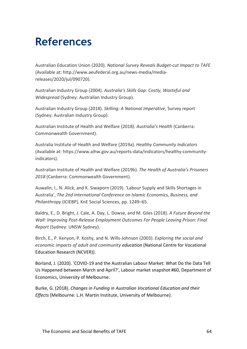## <span id="page-63-0"></span>**References**

Australian Education Union (2020). *National Survey Reveals Budget-cut Impact to TAFE* (Available at: http://www.aeufederal.org.au/news-media/mediareleases/2020/jul/090720).

Australian Industry Group (2004). *Australia's Skills Gap: Costly, Wasteful and Widespread* (Sydney: Australian Industry Group).

Australian Industry Group (2018). *Skilling: A National Imperative*, Survey report (Sydney: Australian Industry Group).

Australian Institute of Health and Welfare (2018). *Australia's Health* (Canberra: Commonwealth Government).

Australia Institute of Health and Welfare (2019a). *Healthy Community Indicators* (Available at: https://www.aihw.gov.au/reports-data/indicators/healthy-communityindicators).

Australian Institute of Health and Welfare (2019b). *The Health of Australia's Prisoners 2018* (Canberra: Commonwealth Government).

Auwalin, I., N. Alick, and K. Siwaporn (2019). 'Labour Supply and Skills Shortages in Australia', *The 2nd International Conference on Islamic Economics, Business, and Philanthropy* (ICIEBP), KnE Social Sciences, pp. 1249–65.

Baldry, E., D. Bright, J. Cale, A. Day, L. Dowse, and M. Giles (2018). *A Future Beyond the Wall: Improving Post-Release Employment Outcomes For People Leaving Prison: Final Report* (Sydney: UNSW Sydney).

Birch, E., P. Kenyon, P. Koshy, and N. Wills-Johnson (2003). *Exploring the social and economic impacts of adult and community education* (National Centre for Vocational Education Research (NCVER)).

Borland, J. (2020). 'COVID‐19 and the Australian Labour Market: What Do the Data Tell Us Happened between March and April?', Labour market snapshot #60, Department of Economics, University of Melbourne.

Burke, G. (2018). *Changes in Funding in Australian Vocational Education and their Effects* (Melbourne: L.H. Martin Institute, University of Melbourne).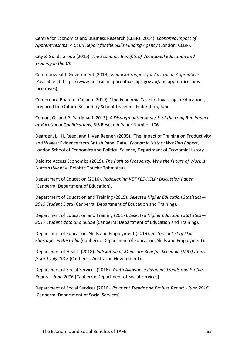Centre for Economics and Business Research (CEBR) (2014). *Economic Impact of Apprenticeships: A CEBR Report for the Skills Funding Agency* (London: CEBR).

City & Guilds Group (2015). *The Economic Benefits of Vocational Education and Training in the UK*.

Commonwealth Government (2019). *Financial Support for Australian Apprentices*  (Available at: [https://www.australianapprenticeships.gov.au/aus-apprenticeships](https://www.australianapprenticeships.gov.au/aus-apprenticeships-incentives)[incentives\)](https://www.australianapprenticeships.gov.au/aus-apprenticeships-incentives).

Conference Board of Canada (2019). 'The Economic Case for Investing in Education', prepared for Ontario Secondary School Teachers' Federation, June.

Conlon, G., and P. Patrignani (2013)*. A Disaggregated Analysis of the Long Run Impact of Vocational Qualifications,* BIS Research Paper Number 106.

Dearden, L., H. Reed, and J. Van Reenen (2005). 'The Impact of Training on Productivity and Wages: Evidence from British Panel Data', *Economic History Working Papers*, London School of Economics and Political Science, Department of Economic History.

Deloitte Access Economics (2019). *The Path to Prosperity: Why the Future of Work is Human* (Sydney: Deloitte Touché Tohmatsu).

Department of Education (2016). *Redesigning VET FEE-HELP: Discussion Paper* (Canberra: Department of Education).

Department of Education and Training (2015). *Selected Higher Education Statistics— 2015 Student Data* (Canberra: Department of Education and Training).

Department of Education and Training (2017). *Selected Higher Education Statistics— 2017 Student data and uCube* (Canberra: Department of Education and Training).

Department of Education, Skills and Employment (2019). *Historical List of Skill Shortages in Australia* (Canberra: Department of Education, Skills and Employment).

Department of Health (2018). *Indexation of Medicare Benefits Schedule (MBS) Items from 1 July 2018* (Canberra: Australian Government).

Department of Social Services (2016). *Youth Allowance Payment Trends and Profiles Report*—*June 2016* (Canberra: Department of Social Services).

Department of Social Services (2016). *Payment Trends and Profiles Report - June 2016* (Canberra: Department of Social Services).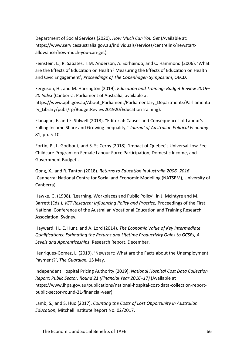Department of Social Services (2020). *How Much Can You Get* (Available at: https://www.servicesaustralia.gov.au/individuals/services/centrelink/newstartallowance/how-much-you-can-get).

Feinstein, L., R. Sabates, T.M. Anderson, A. Sorhaindo, and C. Hammond (2006). 'What are the Effects of Education on Health? Measuring the Effects of Education on Health and Civic Engagement', *Proceedings of The Copenhagen Symposium*, OECD.

Ferguson, H., and M. Harrington (2019). *Education and Training: Budget Review 2019– 20 Index* (Canberra: Parliament of Australia, available at https://www.aph.gov.au/About Parliament/Parliamentary Departments/Parliamenta [ry\\_Library/pubs/rp/BudgetReview201920/EducationTraining\)](https://www.aph.gov.au/About_Parliament/Parliamentary_Departments/Parliamentary_Library/pubs/rp/BudgetReview201920/EducationTraining).

Flanagan, F. and F. Stilwell (2018). "Editorial: Causes and Consequences of Labour's Falling Income Share and Growing Inequality," *Journal of Australian Political Economy* 81, pp. 5-10.

Fortin, P., L. Godbout, and S. St-Cerny (2018). 'Impact of Quebec's Universal Low-Fee Childcare Program on Female Labour Force Participation, Domestic Income, and Government Budget'.

Gong, X., and R. Tanton (2018). *Returns to Education in Australia 2006–2016* (Canberra: National Centre for Social and Economic Modelling (NATSEM), University of Canberra).

Hawke, G. (1998). 'Learning, Workplaces and Public Policy', in J. McIntyre and M. Barrett (Eds.), *VET Research: Influencing Policy and Practice,* Proceedings of the First National Conference of the Australian Vocational Education and Training Research Association, Sydney.

Hayward, H., E. Hunt, and A. Lord (2014)*. The Economic Value of Key Intermediate Qualifications: Estimating the Returns and Lifetime Productivity Gains to GCSEs, A Levels and Apprenticeships*, Research Report, December.

Henriques-Gomez, L. (2019). 'Newstart: What are the Facts about the Unemployment Payment?', *The Guardian,* 15 May.

Independent Hospital Pricing Authority (2019). *National Hospital Cost Data Collection Report; Public Sector, Round 21 (Financial Year 2016–17)* (Available at https://www.ihpa.gov.au/publications/national-hospital-cost-data-collection-reportpublic-sector-round-21-financial-year).

Lamb, S., and S. Huo (2017). *Counting the Costs of Lost Opportunity in Australian Education,* Mitchell Institute Report No. 02/2017.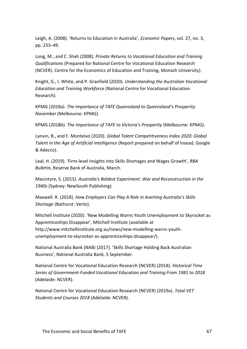Leigh, A. (2008). 'Returns to Education in Australia', *Economic Papers*, vol. 27, no. 3, pp. 233–49.

Long, M., and C. Shah (2008). *Private Returns to Vocational Education and Training Qualifications* (Prepared for National Centre for Vocational Education Research (NCVER). Centre for the Economics of Education and Training, Monash University).

Knight, G., I. White, and P. Granfield (2020). *Understanding the Australian Vocational Education and Training Workforce* (National Centre for Vocational Education Research).

KPMG (2018a). *The Importance of TAFE Queensland to Queensland's Prosperity. November* (Melbourne: KPMG).

KPMG (2018b)*. The Importance of TAFE to Victoria's Prosperity* (Melbourne: KPMG).

Lanvin, B., and F. Monteivo (2020). *Global Talent Competitiveness Index 2020: Global Talent in the Age of Artificial Intelligence* (Report prepared on behalf of Insead, Google & Adecco).

Leal, H. (2019). 'Firm-level Insights into Skills Shortages and Wages Growth', *RBA Bulletin*, Reserve Bank of Australia, March.

Macintyre, S. (2015). *Australia's Boldest Experiment: War and Reconstruction in the 1940s* (Sydney: NewSouth Publishing).

Maxwell. R. (2018). *How Employers Can Play A Role in Averting Australia's Skills Shortage* (Bathurst: Verto).

Mitchell Institute (2020). 'New Modelling Warns Youth Unemployment to Skyrocket as Apprenticeships Disappear', Mitchell Institute (available at http://www.mitchellinstitute.org.au/news/new-modelling-warns-youthunemployment-to-skyrocket-as-apprenticeships-disappear/).

National Australia Bank (NAB) (2017). 'Skills Shortage Holding Back Australian Business', National Australia Bank, 5 September.

National Centre for Vocational Education Research (NCVER) (2018). *Historical Time Series of Government-Funded Vocational Education and Training From 1981 to 2018*  (Adelaide: NCVER).

National Centre for Vocational Education Research (NCVER) (2019a). *Total VET Students and Courses 2018* (Adelaide: NCVER).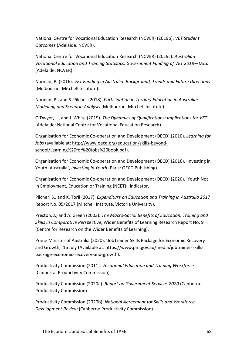National Centre for Vocational Education Research (NCVER) (2019b). *VET Student Outcomes* (Adelaide: NCVER).

National Centre for Vocational Education Research (NCVER) (2019c). *Australian Vocational Education and Training Statistics: Government Funding of VET 2018*—*Data*  (Adelaide: NCVER).

Noonan, P. (2016). *VET Funding in Australia: Background, Trends and Future Directions* (Melbourne: Mitchell Institute).

Noonan, P., and S. Pilcher (2018). *Participation in Tertiary Education in Australia: Modelling and Scenario Analysis* (Melbourne: Mitchell Institute).

O'Dwyer, L., and I. White (2019). *The Dynamics of Qualifications: Implications for VET* (Adelaide: National Centre for Vocational Education Research).

Organisation for Economic Co-operation and Development (OECD) (2010). *Learning for Jobs* (available at: [http://www.oecd.org/education/skills-beyond](http://www.oecd.org/education/skills-beyond-school/Learning%20for%20Jobs%20book.pdf)[school/Learning%20for%20Jobs%20book.pdf\)](http://www.oecd.org/education/skills-beyond-school/Learning%20for%20Jobs%20book.pdf).

Organisation for Economic Co-operation and Development (OECD) (2016). 'Investing in Youth: Australia', *Investing in Youth* (Paris: OECD Publishing).

Organisation for Economic Co-operation and Development (OECD) (2020). 'Youth Not in Employment, Education or Training (NEET)', indicator.

Pilcher, S., and K. Torii (2017). *Expenditure on Education and Training in Australia 2017*, Report No. 05/2017 (Mitchell Institute, Victoria University).

Preston, J., and A. Green (2003). *The Macro-Social Benefits of Education, Training and Skills in Comparative Perspective*, Wider Benefits of Learning Research Report No. 9 (Centre for Research on the Wider Benefits of Learning).

Prime Minister of Australia (2020). 'JobTrainer Skills Package for Economic Recovery and Growth,' 16 July (Available at: [https://www.pm.gov.au/media/jobtrainer-skills](https://www.pm.gov.au/media/jobtrainer-skills-package-economic-recovery-and-growth)[package-economic-recovery-and-growth\)](https://www.pm.gov.au/media/jobtrainer-skills-package-economic-recovery-and-growth).

Productivity Commission (2011). *Vocational Education and Training Workforce* (Canberra: Productivity Commission).

Productivity Commission (2020a). *Report on Government Services 2020* (Canberra: Productivity Commission).

Productivity Commission (2020b). *National Agreement for Skills and Workforce Development Review* (Canberra: Productivity Commission).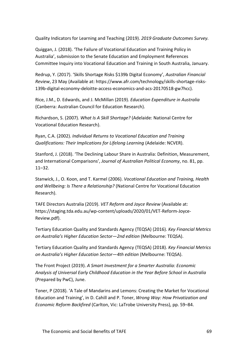Quality Indicators for Learning and Teaching (2019). *2019 Graduate Outcomes Survey.*

Quiggan, J. (2018). 'The Failure of Vocational Education and Training Policy in Australia', submission to the Senate Education and Employment References Committee Inquiry into Vocational Education and Training in South Australia, January.

Redrup, Y. (2017). 'Skills Shortage Risks \$139b Digital Economy', *Australian Financial Review*, 23 May (Available at: [https://www.afr.com/technology/skills-shortage-risks-](https://www.afr.com/technology/skills-shortage-risks-139b-digital-economy-deloitte-access-economics-and-acs-20170518-gw7hcc)[139b-digital-economy-deloitte-access-economics-and-acs-20170518-gw7hcc\)](https://www.afr.com/technology/skills-shortage-risks-139b-digital-economy-deloitte-access-economics-and-acs-20170518-gw7hcc).

Rice, J.M., D. Edwards, and J. McMillan (2019). *Education Expenditure in Australia* (Canberra: Australian Council for Education Research).

Richardson, S. (2007). *What Is A Skill Shortage?* (Adelaide: National Centre for Vocational Education Research).

Ryan, C.A. (2002). *Individual Returns to Vocational Education and Training Qualifications: Their Implications for Lifelong Learning* (Adelaide: NCVER).

Stanford, J. (2018). 'The Declining Labour Share in Australia: Definition, Measurement, and International Comparisons', *Journal of Australian Political Economy*, no. 81, pp. 11–32.

Stanwick, J., O. Koon, and T. Karmel (2006). *Vocational Education and Training, Health and Wellbeing: Is There a Relationship?* (National Centre for Vocational Education Research).

TAFE Directors Australia (2019). *VET Reform and Joyce Review* (Available at: [https://staging.tda.edu.au/wp-content/uploads/2020/01/VET-Reform-Joyce-](https://staging.tda.edu.au/wp-content/uploads/2020/01/VET-Reform-Joyce-Review.pdf)[Review.pdf\)](https://staging.tda.edu.au/wp-content/uploads/2020/01/VET-Reform-Joyce-Review.pdf).

Tertiary Education Quality and Standards Agency (TEQSA) (2016). *Key Financial Metrics on Australia's Higher Education Sector—2nd edition* (Melbourne: TEQSA).

Tertiary Education Quality and Standards Agency (TEQSA) (2018). *Key Financial Metrics on Australia's Higher Education Sector—4th edition* (Melbourne: TEQSA).

The Front Project (2019). *A Smart Investment for a Smarter Australia: Economic Analysis of Universal Early Childhood Education in the Year Before School in Australia* (Prepared by PwC), June.

Toner, P (2018). 'A Tale of Mandarins and Lemons: Creating the Market for Vocational Education and Training', in D. Cahill and P. Toner, *Wrong Way: How Privatization and Economic Reform Backfired* (Carlton, Vic: LaTrobe University Press), pp. 59–84.